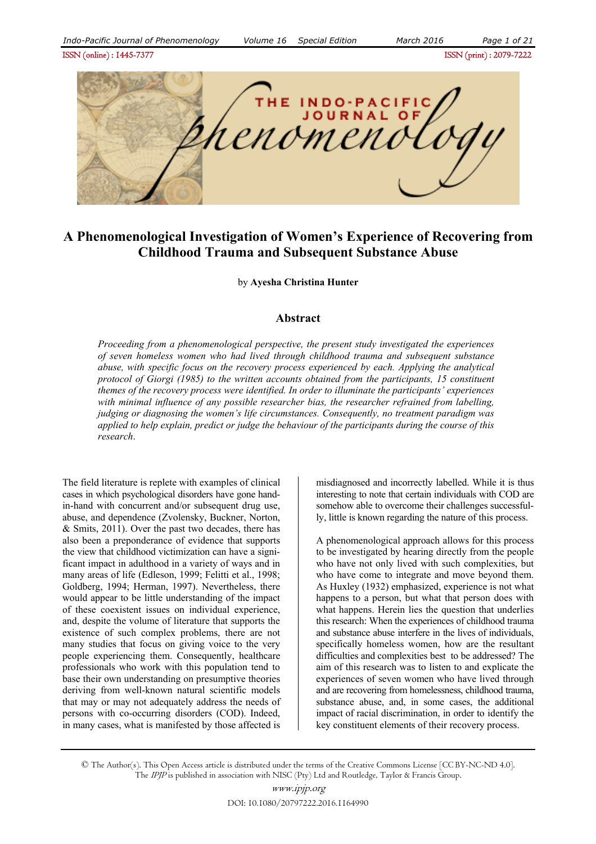ISSN (online) : 1445-7377ISSN (print) : 2079-7222



# **A Phenomenological Investigation of Women's Experience of Recovering from Childhood Trauma and Subsequent Substance Abuse**

by **Ayesha Christina Hunter**

#### **Abstract**

*Proceeding from a phenomenological perspective, the present study investigated the experiences of seven homeless women who had lived through childhood trauma and subsequent substance abuse, with specific focus on the recovery process experienced by each. Applying the analytical protocol of Giorgi (1985) to the written accounts obtained from the participants, 15 constituent themes of the recovery process were identified. In order to illuminate the participants' experiences with minimal influence of any possible researcher bias, the researcher refrained from labelling, judging or diagnosing the women's life circumstances. Consequently, no treatment paradigm was applied to help explain, predict or judge the behaviour of the participants during the course of this research*.

The field literature is replete with examples of clinical cases in which psychological disorders have gone handin-hand with concurrent and/or subsequent drug use, abuse, and dependence (Zvolensky, Buckner, Norton, & Smits, 2011). Over the past two decades, there has also been a preponderance of evidence that supports the view that childhood victimization can have a significant impact in adulthood in a variety of ways and in many areas of life (Edleson, 1999; Felitti et al., 1998; Goldberg, 1994; Herman, 1997). Nevertheless, there would appear to be little understanding of the impact of these coexistent issues on individual experience, and, despite the volume of literature that supports the existence of such complex problems, there are not many studies that focus on giving voice to the very people experiencing them. Consequently, healthcare professionals who work with this population tend to base their own understanding on presumptive theories deriving from well-known natural scientific models that may or may not adequately address the needs of persons with co-occurring disorders (COD). Indeed, in many cases, what is manifested by those affected is misdiagnosed and incorrectly labelled. While it is thus interesting to note that certain individuals with COD are somehow able to overcome their challenges successfully, little is known regarding the nature of this process.

A phenomenological approach allows for this process to be investigated by hearing directly from the people who have not only lived with such complexities, but who have come to integrate and move beyond them. As Huxley (1932) emphasized, experience is not what happens to a person, but what that person does with what happens. Herein lies the question that underlies this research: When the experiences of childhood trauma and substance abuse interfere in the lives of individuals, specifically homeless women, how are the resultant difficulties and complexities best to be addressed? The aim of this research was to listen to and explicate the experiences of seven women who have lived through and are recovering from homelessness, childhood trauma, substance abuse, and, in some cases, the additional impact of racial discrimination, in order to identify the key constituent elements of their recovery process.

<sup>©</sup> The Author(s). This Open Access article is distributed under the terms of the Creative Commons License [CC BY-NC-ND 4.0]. The IPJP is published in association with NISC (Pty) Ltd and Routledge, Taylor & Francis Group.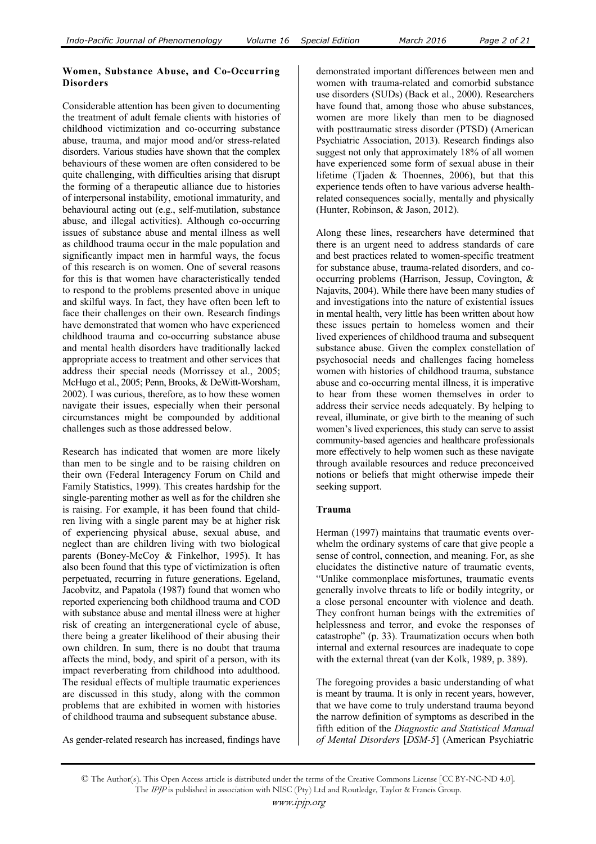#### **Women, Substance Abuse, and Co-Occurring Disorders**

Considerable attention has been given to documenting the treatment of adult female clients with histories of childhood victimization and co-occurring substance abuse, trauma, and major mood and/or stress-related disorders. Various studies have shown that the complex behaviours of these women are often considered to be quite challenging, with difficulties arising that disrupt the forming of a therapeutic alliance due to histories of interpersonal instability, emotional immaturity, and behavioural acting out (e.g., self-mutilation, substance abuse, and illegal activities). Although co-occurring issues of substance abuse and mental illness as well as childhood trauma occur in the male population and significantly impact men in harmful ways, the focus of this research is on women. One of several reasons for this is that women have characteristically tended to respond to the problems presented above in unique and skilful ways. In fact, they have often been left to face their challenges on their own. Research findings have demonstrated that women who have experienced childhood trauma and co-occurring substance abuse and mental health disorders have traditionally lacked appropriate access to treatment and other services that address their special needs (Morrissey et al., 2005; McHugo et al., 2005; Penn, Brooks, & DeWitt-Worsham, 2002). I was curious, therefore, as to how these women navigate their issues, especially when their personal circumstances might be compounded by additional challenges such as those addressed below.

Research has indicated that women are more likely than men to be single and to be raising children on their own (Federal Interagency Forum on Child and Family Statistics, 1999). This creates hardship for the single-parenting mother as well as for the children she is raising. For example, it has been found that children living with a single parent may be at higher risk of experiencing physical abuse, sexual abuse, and neglect than are children living with two biological parents (Boney-McCoy & Finkelhor, 1995). It has also been found that this type of victimization is often perpetuated, recurring in future generations. Egeland, Jacobvitz, and Papatola (1987) found that women who reported experiencing both childhood trauma and COD with substance abuse and mental illness were at higher risk of creating an intergenerational cycle of abuse, there being a greater likelihood of their abusing their own children. In sum, there is no doubt that trauma affects the mind, body, and spirit of a person, with its impact reverberating from childhood into adulthood. The residual effects of multiple traumatic experiences are discussed in this study, along with the common problems that are exhibited in women with histories of childhood trauma and subsequent substance abuse.

As gender-related research has increased, findings have

demonstrated important differences between men and women with trauma-related and comorbid substance use disorders (SUDs) (Back et al., 2000). Researchers have found that, among those who abuse substances, women are more likely than men to be diagnosed with posttraumatic stress disorder (PTSD) (American Psychiatric Association, 2013). Research findings also suggest not only that approximately 18% of all women have experienced some form of sexual abuse in their lifetime (Tjaden & Thoennes, 2006), but that this experience tends often to have various adverse healthrelated consequences socially, mentally and physically (Hunter, Robinson, & Jason, 2012).

Along these lines, researchers have determined that there is an urgent need to address standards of care and best practices related to women-specific treatment for substance abuse, trauma-related disorders, and cooccurring problems (Harrison, Jessup, Covington, & Najavits, 2004). While there have been many studies of and investigations into the nature of existential issues in mental health, very little has been written about how these issues pertain to homeless women and their lived experiences of childhood trauma and subsequent substance abuse. Given the complex constellation of psychosocial needs and challenges facing homeless women with histories of childhood trauma, substance abuse and co-occurring mental illness, it is imperative to hear from these women themselves in order to address their service needs adequately. By helping to reveal, illuminate, or give birth to the meaning of such women's lived experiences, this study can serve to assist community-based agencies and healthcare professionals more effectively to help women such as these navigate through available resources and reduce preconceived notions or beliefs that might otherwise impede their seeking support.

## **Trauma**

Herman (1997) maintains that traumatic events overwhelm the ordinary systems of care that give people a sense of control, connection, and meaning. For, as she elucidates the distinctive nature of traumatic events, "Unlike commonplace misfortunes, traumatic events generally involve threats to life or bodily integrity, or a close personal encounter with violence and death. They confront human beings with the extremities of helplessness and terror, and evoke the responses of catastrophe" (p. 33). Traumatization occurs when both internal and external resources are inadequate to cope with the external threat (van der Kolk, 1989, p. 389).

The foregoing provides a basic understanding of what is meant by trauma. It is only in recent years, however, that we have come to truly understand trauma beyond the narrow definition of symptoms as described in the fifth edition of the *Diagnostic and Statistical Manual of Mental Disorders* [*DSM-5*] (American Psychiatric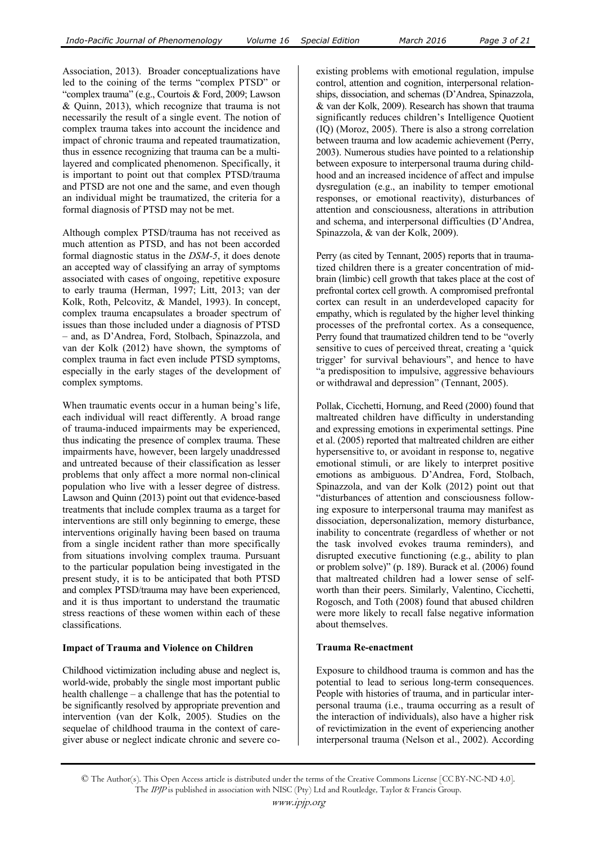Association, 2013). Broader conceptualizations have led to the coining of the terms "complex PTSD" or "complex trauma" (e.g., Courtois & Ford, 2009; Lawson & Quinn, 2013), which recognize that trauma is not necessarily the result of a single event. The notion of complex trauma takes into account the incidence and impact of chronic trauma and repeated traumatization, thus in essence recognizing that trauma can be a multilayered and complicated phenomenon. Specifically, it is important to point out that complex PTSD/trauma and PTSD are not one and the same, and even though an individual might be traumatized, the criteria for a formal diagnosis of PTSD may not be met.

Although complex PTSD/trauma has not received as much attention as PTSD, and has not been accorded formal diagnostic status in the *DSM-5*, it does denote an accepted way of classifying an array of symptoms associated with cases of ongoing, repetitive exposure to early trauma (Herman, 1997; Litt, 2013; van der Kolk, Roth, Pelcovitz, & Mandel, 1993). In concept, complex trauma encapsulates a broader spectrum of issues than those included under a diagnosis of PTSD – and, as D'Andrea, Ford, Stolbach, Spinazzola, and van der Kolk (2012) have shown, the symptoms of complex trauma in fact even include PTSD symptoms, especially in the early stages of the development of complex symptoms.

When traumatic events occur in a human being's life, each individual will react differently. A broad range of trauma-induced impairments may be experienced, thus indicating the presence of complex trauma. These impairments have, however, been largely unaddressed and untreated because of their classification as lesser problems that only affect a more normal non-clinical population who live with a lesser degree of distress. Lawson and Quinn (2013) point out that evidence-based treatments that include complex trauma as a target for interventions are still only beginning to emerge, these interventions originally having been based on trauma from a single incident rather than more specifically from situations involving complex trauma. Pursuant to the particular population being investigated in the present study, it is to be anticipated that both PTSD and complex PTSD/trauma may have been experienced, and it is thus important to understand the traumatic stress reactions of these women within each of these classifications.

# **Impact of Trauma and Violence on Children**

Childhood victimization including abuse and neglect is, world-wide, probably the single most important public health challenge – a challenge that has the potential to be significantly resolved by appropriate prevention and intervention (van der Kolk, 2005). Studies on the sequelae of childhood trauma in the context of caregiver abuse or neglect indicate chronic and severe coexisting problems with emotional regulation, impulse control, attention and cognition, interpersonal relationships, dissociation, and schemas (D'Andrea, Spinazzola, & van der Kolk, 2009). Research has shown that trauma significantly reduces children's Intelligence Quotient (IQ) (Moroz, 2005). There is also a strong correlation between trauma and low academic achievement (Perry, 2003). Numerous studies have pointed to a relationship between exposure to interpersonal trauma during childhood and an increased incidence of affect and impulse dysregulation (e.g., an inability to temper emotional responses, or emotional reactivity), disturbances of attention and consciousness, alterations in attribution and schema, and interpersonal difficulties (D'Andrea, Spinazzola, & van der Kolk, 2009).

Perry (as cited by Tennant, 2005) reports that in traumatized children there is a greater concentration of midbrain (limbic) cell growth that takes place at the cost of prefrontal cortex cell growth. A compromised prefrontal cortex can result in an underdeveloped capacity for empathy, which is regulated by the higher level thinking processes of the prefrontal cortex. As a consequence, Perry found that traumatized children tend to be "overly sensitive to cues of perceived threat, creating a 'quick trigger' for survival behaviours", and hence to have "a predisposition to impulsive, aggressive behaviours or withdrawal and depression" (Tennant, 2005).

Pollak, Cicchetti, Hornung, and Reed (2000) found that maltreated children have difficulty in understanding and expressing emotions in experimental settings. Pine et al. (2005) reported that maltreated children are either hypersensitive to, or avoidant in response to, negative emotional stimuli, or are likely to interpret positive emotions as ambiguous. D'Andrea, Ford, Stolbach, Spinazzola, and van der Kolk (2012) point out that "disturbances of attention and consciousness following exposure to interpersonal trauma may manifest as dissociation, depersonalization, memory disturbance, inability to concentrate (regardless of whether or not the task involved evokes trauma reminders), and disrupted executive functioning (e.g., ability to plan or problem solve)" (p. 189). Burack et al. (2006) found that maltreated children had a lower sense of selfworth than their peers. Similarly, Valentino, Cicchetti, Rogosch, and Toth (2008) found that abused children were more likely to recall false negative information about themselves.

## **Trauma Re-enactment**

Exposure to childhood trauma is common and has the potential to lead to serious long-term consequences. People with histories of trauma, and in particular interpersonal trauma (i.e., trauma occurring as a result of the interaction of individuals), also have a higher risk of revictimization in the event of experiencing another interpersonal trauma (Nelson et al., 2002). According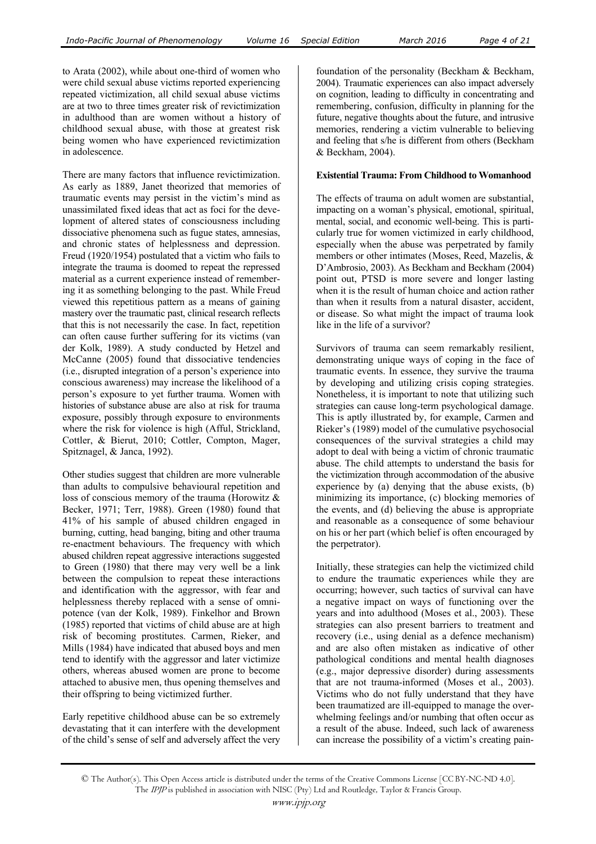to Arata (2002), while about one-third of women who were child sexual abuse victims reported experiencing repeated victimization, all child sexual abuse victims are at two to three times greater risk of revictimization in adulthood than are women without a history of childhood sexual abuse, with those at greatest risk being women who have experienced revictimization in adolescence.

There are many factors that influence revictimization. As early as 1889, Janet theorized that memories of traumatic events may persist in the victim's mind as unassimilated fixed ideas that act as foci for the development of altered states of consciousness including dissociative phenomena such as fugue states, amnesias, and chronic states of helplessness and depression. Freud (1920/1954) postulated that a victim who fails to integrate the trauma is doomed to repeat the repressed material as a current experience instead of remembering it as something belonging to the past. While Freud viewed this repetitious pattern as a means of gaining mastery over the traumatic past, clinical research reflects that this is not necessarily the case. In fact, repetition can often cause further suffering for its victims (van der Kolk, 1989). A study conducted by Hetzel and McCanne (2005) found that dissociative tendencies (i.e., disrupted integration of a person's experience into conscious awareness) may increase the likelihood of a person's exposure to yet further trauma. Women with histories of substance abuse are also at risk for trauma exposure, possibly through exposure to environments where the risk for violence is high (Afful, Strickland, Cottler, & Bierut, 2010; Cottler, Compton, Mager, Spitznagel, & Janca, 1992).

Other studies suggest that children are more vulnerable than adults to compulsive behavioural repetition and loss of conscious memory of the trauma (Horowitz & Becker, 1971; Terr, 1988). Green (1980) found that 41% of his sample of abused children engaged in burning, cutting, head banging, biting and other trauma re-enactment behaviours. The frequency with which abused children repeat aggressive interactions suggested to Green (1980) that there may very well be a link between the compulsion to repeat these interactions and identification with the aggressor, with fear and helplessness thereby replaced with a sense of omnipotence (van der Kolk, 1989). Finkelhor and Brown (1985) reported that victims of child abuse are at high risk of becoming prostitutes. Carmen, Rieker, and Mills (1984) have indicated that abused boys and men tend to identify with the aggressor and later victimize others, whereas abused women are prone to become attached to abusive men, thus opening themselves and their offspring to being victimized further.

Early repetitive childhood abuse can be so extremely devastating that it can interfere with the development of the child's sense of self and adversely affect the very foundation of the personality (Beckham & Beckham, 2004). Traumatic experiences can also impact adversely on cognition, leading to difficulty in concentrating and remembering, confusion, difficulty in planning for the future, negative thoughts about the future, and intrusive memories, rendering a victim vulnerable to believing and feeling that s/he is different from others (Beckham & Beckham, 2004).

## **Existential Trauma: From Childhood to Womanhood**

The effects of trauma on adult women are substantial, impacting on a woman's physical, emotional, spiritual, mental, social, and economic well-being. This is particularly true for women victimized in early childhood, especially when the abuse was perpetrated by family members or other intimates (Moses, Reed, Mazelis, & D'Ambrosio, 2003). As Beckham and Beckham (2004) point out, PTSD is more severe and longer lasting when it is the result of human choice and action rather than when it results from a natural disaster, accident, or disease. So what might the impact of trauma look like in the life of a survivor?

Survivors of trauma can seem remarkably resilient, demonstrating unique ways of coping in the face of traumatic events. In essence, they survive the trauma by developing and utilizing crisis coping strategies. Nonetheless, it is important to note that utilizing such strategies can cause long-term psychological damage. This is aptly illustrated by, for example, Carmen and Rieker's (1989) model of the cumulative psychosocial consequences of the survival strategies a child may adopt to deal with being a victim of chronic traumatic abuse. The child attempts to understand the basis for the victimization through accommodation of the abusive experience by (a) denying that the abuse exists, (b) minimizing its importance, (c) blocking memories of the events, and (d) believing the abuse is appropriate and reasonable as a consequence of some behaviour on his or her part (which belief is often encouraged by the perpetrator).

Initially, these strategies can help the victimized child to endure the traumatic experiences while they are occurring; however, such tactics of survival can have a negative impact on ways of functioning over the years and into adulthood (Moses et al., 2003). These strategies can also present barriers to treatment and recovery (i.e., using denial as a defence mechanism) and are also often mistaken as indicative of other pathological conditions and mental health diagnoses (e.g., major depressive disorder) during assessments that are not trauma-informed (Moses et al., 2003). Victims who do not fully understand that they have been traumatized are ill-equipped to manage the overwhelming feelings and/or numbing that often occur as a result of the abuse. Indeed, such lack of awareness can increase the possibility of a victim's creating pain-

<sup>©</sup> The Author(s). This Open Access article is distributed under the terms of the Creative Commons License [CC BY-NC-ND 4.0]. The IPJP is published in association with NISC (Pty) Ltd and Routledge, Taylor & Francis Group.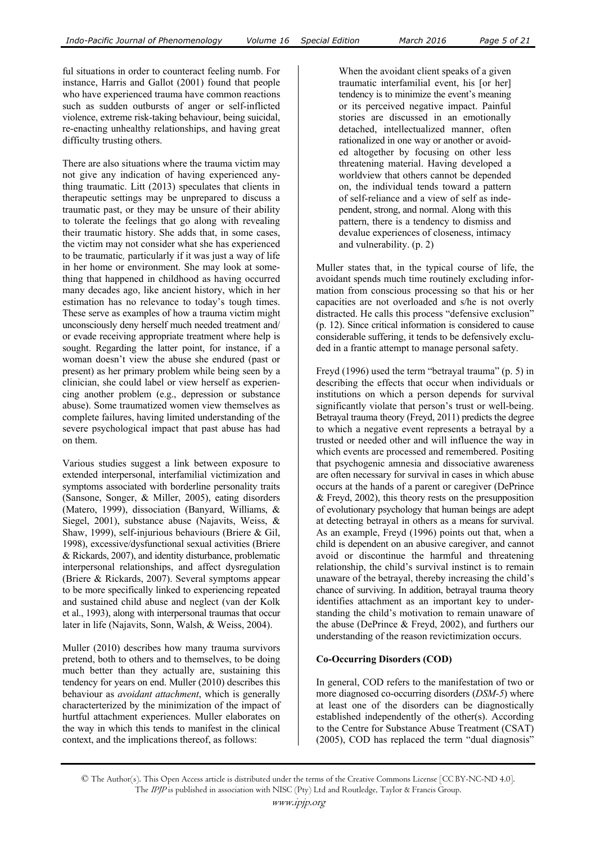ful situations in order to counteract feeling numb. For instance, Harris and Gallot (2001) found that people who have experienced trauma have common reactions such as sudden outbursts of anger or self-inflicted violence, extreme risk-taking behaviour, being suicidal, re-enacting unhealthy relationships, and having great difficulty trusting others.

There are also situations where the trauma victim may not give any indication of having experienced anything traumatic. Litt (2013) speculates that clients in therapeutic settings may be unprepared to discuss a traumatic past, or they may be unsure of their ability to tolerate the feelings that go along with revealing their traumatic history. She adds that, in some cases, the victim may not consider what she has experienced to be traumatic*,* particularly if it was just a way of life in her home or environment. She may look at something that happened in childhood as having occurred many decades ago, like ancient history, which in her estimation has no relevance to today's tough times. These serve as examples of how a trauma victim might unconsciously deny herself much needed treatment and/ or evade receiving appropriate treatment where help is sought. Regarding the latter point, for instance, if a woman doesn't view the abuse she endured (past or present) as her primary problem while being seen by a clinician, she could label or view herself as experiencing another problem (e.g., depression or substance abuse). Some traumatized women view themselves as complete failures, having limited understanding of the severe psychological impact that past abuse has had on them.

Various studies suggest a link between exposure to extended interpersonal, interfamilial victimization and symptoms associated with borderline personality traits (Sansone, Songer, & Miller, 2005), eating disorders (Matero, 1999), dissociation (Banyard, Williams, & Siegel, 2001), substance abuse (Najavits, Weiss, & Shaw, 1999), self-injurious behaviours (Briere & Gil, 1998), excessive/dysfunctional sexual activities (Briere & Rickards, 2007), and identity disturbance, problematic interpersonal relationships, and affect dysregulation (Briere & Rickards, 2007). Several symptoms appear to be more specifically linked to experiencing repeated and sustained child abuse and neglect (van der Kolk et al., 1993), along with interpersonal traumas that occur later in life (Najavits, Sonn, Walsh, & Weiss, 2004).

Muller (2010) describes how many trauma survivors pretend, both to others and to themselves, to be doing much better than they actually are, sustaining this tendency for years on end. Muller (2010) describes this behaviour as *avoidant attachment*, which is generally characterterized by the minimization of the impact of hurtful attachment experiences. Muller elaborates on the way in which this tends to manifest in the clinical context, and the implications thereof, as follows:

When the avoidant client speaks of a given traumatic interfamilial event, his [or her] tendency is to minimize the event's meaning or its perceived negative impact. Painful stories are discussed in an emotionally detached, intellectualized manner, often rationalized in one way or another or avoided altogether by focusing on other less threatening material. Having developed a worldview that others cannot be depended on, the individual tends toward a pattern of self-reliance and a view of self as independent, strong, and normal. Along with this pattern, there is a tendency to dismiss and devalue experiences of closeness, intimacy and vulnerability. (p. 2)

Muller states that, in the typical course of life, the avoidant spends much time routinely excluding information from conscious processing so that his or her capacities are not overloaded and s/he is not overly distracted. He calls this process "defensive exclusion" (p. 12). Since critical information is considered to cause considerable suffering, it tends to be defensively excluded in a frantic attempt to manage personal safety.

Freyd (1996) used the term "betrayal trauma" (p. 5) in describing the effects that occur when individuals or institutions on which a person depends for survival significantly violate that person's trust or well-being. Betrayal trauma theory (Freyd, 2011) predicts the degree to which a negative event represents a betrayal by a trusted or needed other and will influence the way in which events are processed and remembered. Positing that psychogenic amnesia and dissociative awareness are often necessary for survival in cases in which abuse occurs at the hands of a parent or caregiver (DePrince & Freyd, 2002), this theory rests on the presupposition of evolutionary psychology that human beings are adept at detecting betrayal in others as a means for survival. As an example, Freyd (1996) points out that, when a child is dependent on an abusive caregiver, and cannot avoid or discontinue the harmful and threatening relationship, the child's survival instinct is to remain unaware of the betrayal, thereby increasing the child's chance of surviving. In addition, betrayal trauma theory identifies attachment as an important key to understanding the child's motivation to remain unaware of the abuse (DePrince & Freyd, 2002), and furthers our understanding of the reason revictimization occurs.

# **Co-Occurring Disorders (COD)**

In general, COD refers to the manifestation of two or more diagnosed co-occurring disorders (*DSM-5*) where at least one of the disorders can be diagnostically established independently of the other(s). According to the Centre for Substance Abuse Treatment (CSAT) (2005), COD has replaced the term "dual diagnosis"

<sup>©</sup> The Author(s). This Open Access article is distributed under the terms of the Creative Commons License [CC BY-NC-ND 4.0]. The IPJP is published in association with NISC (Pty) Ltd and Routledge, Taylor & Francis Group.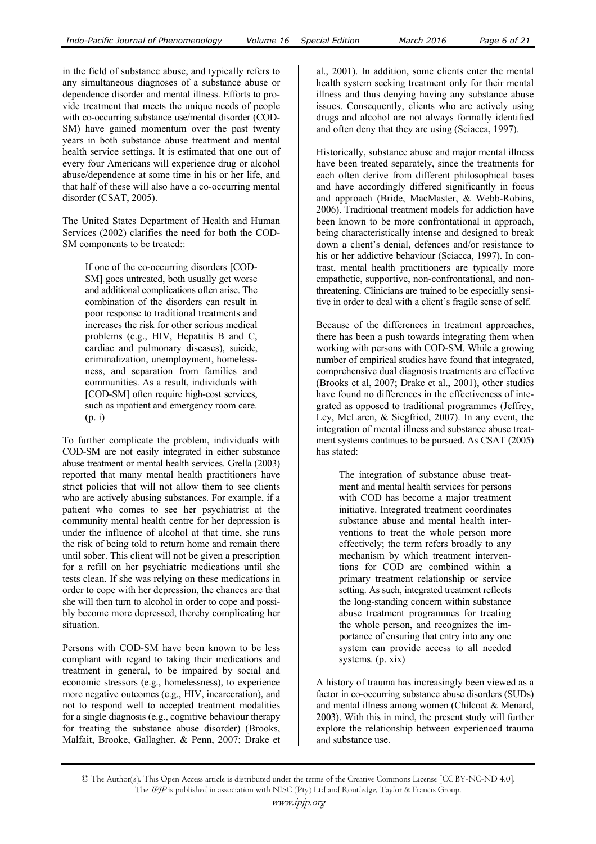in the field of substance abuse, and typically refers to any simultaneous diagnoses of a substance abuse or dependence disorder and mental illness. Efforts to provide treatment that meets the unique needs of people with co-occurring substance use/mental disorder (COD-SM) have gained momentum over the past twenty years in both substance abuse treatment and mental health service settings. It is estimated that one out of every four Americans will experience drug or alcohol abuse/dependence at some time in his or her life, and that half of these will also have a co-occurring mental disorder (CSAT, 2005).

The United States Department of Health and Human Services (2002) clarifies the need for both the COD-SM components to be treated::

> If one of the co-occurring disorders [COD-SM] goes untreated, both usually get worse and additional complications often arise. The combination of the disorders can result in poor response to traditional treatments and increases the risk for other serious medical problems (e.g., HIV, Hepatitis B and C, cardiac and pulmonary diseases), suicide, criminalization, unemployment, homelessness, and separation from families and communities. As a result, individuals with [COD-SM] often require high-cost services, such as inpatient and emergency room care. (p. i)

To further complicate the problem, individuals with COD-SM are not easily integrated in either substance abuse treatment or mental health services. Grella (2003) reported that many mental health practitioners have strict policies that will not allow them to see clients who are actively abusing substances. For example, if a patient who comes to see her psychiatrist at the community mental health centre for her depression is under the influence of alcohol at that time, she runs the risk of being told to return home and remain there until sober. This client will not be given a prescription for a refill on her psychiatric medications until she tests clean. If she was relying on these medications in order to cope with her depression, the chances are that she will then turn to alcohol in order to cope and possibly become more depressed, thereby complicating her situation.

Persons with COD-SM have been known to be less compliant with regard to taking their medications and treatment in general, to be impaired by social and economic stressors (e.g., homelessness), to experience more negative outcomes (e.g., HIV, incarceration), and not to respond well to accepted treatment modalities for a single diagnosis (e.g., cognitive behaviour therapy for treating the substance abuse disorder) (Brooks, Malfait, Brooke, Gallagher, & Penn, 2007; Drake et al., 2001). In addition, some clients enter the mental health system seeking treatment only for their mental illness and thus denying having any substance abuse issues. Consequently, clients who are actively using drugs and alcohol are not always formally identified and often deny that they are using (Sciacca, 1997).

Historically, substance abuse and major mental illness have been treated separately, since the treatments for each often derive from different philosophical bases and have accordingly differed significantly in focus and approach (Bride, MacMaster, & Webb-Robins, 2006). Traditional treatment models for addiction have been known to be more confrontational in approach, being characteristically intense and designed to break down a client's denial, defences and/or resistance to his or her addictive behaviour (Sciacca, 1997). In contrast, mental health practitioners are typically more empathetic, supportive, non-confrontational, and nonthreatening. Clinicians are trained to be especially sensitive in order to deal with a client's fragile sense of self.

Because of the differences in treatment approaches, there has been a push towards integrating them when working with persons with COD-SM. While a growing number of empirical studies have found that integrated, comprehensive dual diagnosis treatments are effective (Brooks et al, 2007; Drake et al., 2001), other studies have found no differences in the effectiveness of integrated as opposed to traditional programmes (Jeffrey, Ley, McLaren, & Siegfried, 2007). In any event, the integration of mental illness and substance abuse treatment systems continues to be pursued. As CSAT (2005) has stated:

The integration of substance abuse treatment and mental health services for persons with COD has become a major treatment initiative. Integrated treatment coordinates substance abuse and mental health interventions to treat the whole person more effectively; the term refers broadly to any mechanism by which treatment interventions for COD are combined within a primary treatment relationship or service setting. As such, integrated treatment reflects the long-standing concern within substance abuse treatment programmes for treating the whole person, and recognizes the importance of ensuring that entry into any one system can provide access to all needed systems. (p. xix)

A history of trauma has increasingly been viewed as a factor in co-occurring substance abuse disorders (SUDs) and mental illness among women (Chilcoat & Menard, 2003). With this in mind, the present study will further explore the relationship between experienced trauma and substance use.

<sup>©</sup> The Author(s). This Open Access article is distributed under the terms of the Creative Commons License [CC BY-NC-ND 4.0]. The IPJP is published in association with NISC (Pty) Ltd and Routledge, Taylor & Francis Group.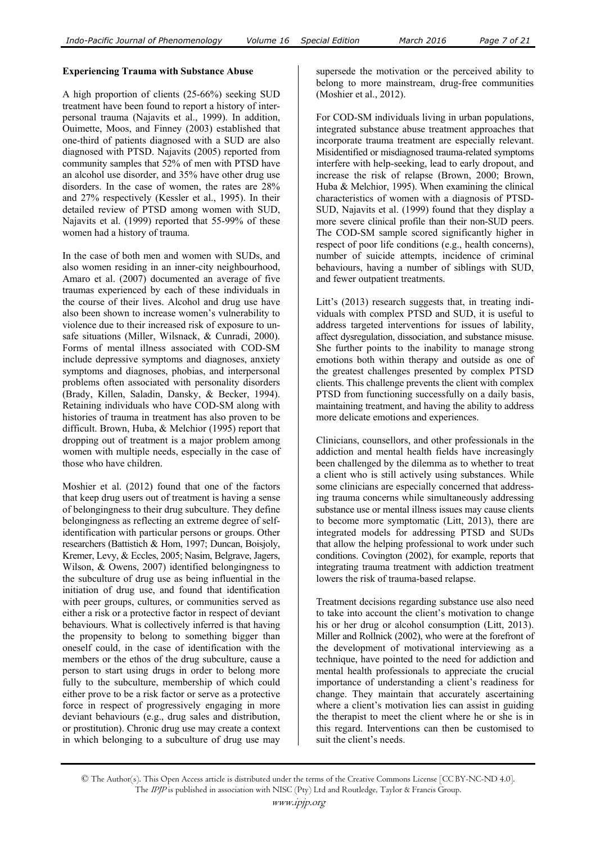## **Experiencing Trauma with Substance Abuse**

A high proportion of clients (25-66%) seeking SUD treatment have been found to report a history of interpersonal trauma (Najavits et al., 1999). In addition, Ouimette, Moos, and Finney (2003) established that one-third of patients diagnosed with a SUD are also diagnosed with PTSD. Najavits (2005) reported from community samples that 52% of men with PTSD have an alcohol use disorder, and 35% have other drug use disorders. In the case of women, the rates are 28% and 27% respectively (Kessler et al., 1995). In their detailed review of PTSD among women with SUD, Najavits et al. (1999) reported that 55-99% of these women had a history of trauma.

In the case of both men and women with SUDs, and also women residing in an inner-city neighbourhood, Amaro et al. (2007) documented an average of five traumas experienced by each of these individuals in the course of their lives. Alcohol and drug use have also been shown to increase women's vulnerability to violence due to their increased risk of exposure to unsafe situations (Miller, Wilsnack, & Cunradi, 2000). Forms of mental illness associated with COD-SM include depressive symptoms and diagnoses, anxiety symptoms and diagnoses, phobias, and interpersonal problems often associated with personality disorders (Brady, Killen, Saladin, Dansky, & Becker, 1994). Retaining individuals who have COD-SM along with histories of trauma in treatment has also proven to be difficult. Brown, Huba, & Melchior (1995) report that dropping out of treatment is a major problem among women with multiple needs, especially in the case of those who have children.

Moshier et al. (2012) found that one of the factors that keep drug users out of treatment is having a sense of belongingness to their drug subculture. They define belongingness as reflecting an extreme degree of selfidentification with particular persons or groups. Other researchers (Battistich & Hom, 1997; Duncan, Boisjoly, Kremer, Levy, & Eccles, 2005; Nasim, Belgrave, Jagers, Wilson, & Owens, 2007) identified belongingness to the subculture of drug use as being influential in the initiation of drug use, and found that identification with peer groups, cultures, or communities served as either a risk or a protective factor in respect of deviant behaviours. What is collectively inferred is that having the propensity to belong to something bigger than oneself could, in the case of identification with the members or the ethos of the drug subculture, cause a person to start using drugs in order to belong more fully to the subculture, membership of which could either prove to be a risk factor or serve as a protective force in respect of progressively engaging in more deviant behaviours (e.g., drug sales and distribution, or prostitution). Chronic drug use may create a context in which belonging to a subculture of drug use may supersede the motivation or the perceived ability to belong to more mainstream, drug-free communities (Moshier et al., 2012).

For COD-SM individuals living in urban populations, integrated substance abuse treatment approaches that incorporate trauma treatment are especially relevant. Misidentified or misdiagnosed trauma-related symptoms interfere with help-seeking, lead to early dropout, and increase the risk of relapse (Brown, 2000; Brown, Huba & Melchior, 1995). When examining the clinical characteristics of women with a diagnosis of PTSD-SUD, Najavits et al. (1999) found that they display a more severe clinical profile than their non-SUD peers. The COD-SM sample scored significantly higher in respect of poor life conditions (e.g., health concerns), number of suicide attempts, incidence of criminal behaviours, having a number of siblings with SUD, and fewer outpatient treatments.

Litt's (2013) research suggests that, in treating individuals with complex PTSD and SUD, it is useful to address targeted interventions for issues of lability, affect dysregulation, dissociation, and substance misuse. She further points to the inability to manage strong emotions both within therapy and outside as one of the greatest challenges presented by complex PTSD clients. This challenge prevents the client with complex PTSD from functioning successfully on a daily basis, maintaining treatment, and having the ability to address more delicate emotions and experiences.

Clinicians, counsellors, and other professionals in the addiction and mental health fields have increasingly been challenged by the dilemma as to whether to treat a client who is still actively using substances. While some clinicians are especially concerned that addressing trauma concerns while simultaneously addressing substance use or mental illness issues may cause clients to become more symptomatic (Litt, 2013), there are integrated models for addressing PTSD and SUDs that allow the helping professional to work under such conditions. Covington (2002), for example, reports that integrating trauma treatment with addiction treatment lowers the risk of trauma-based relapse.

Treatment decisions regarding substance use also need to take into account the client's motivation to change his or her drug or alcohol consumption (Litt, 2013). Miller and Rollnick (2002), who were at the forefront of the development of motivational interviewing as a technique, have pointed to the need for addiction and mental health professionals to appreciate the crucial importance of understanding a client's readiness for change. They maintain that accurately ascertaining where a client's motivation lies can assist in guiding the therapist to meet the client where he or she is in this regard. Interventions can then be customised to suit the client's needs.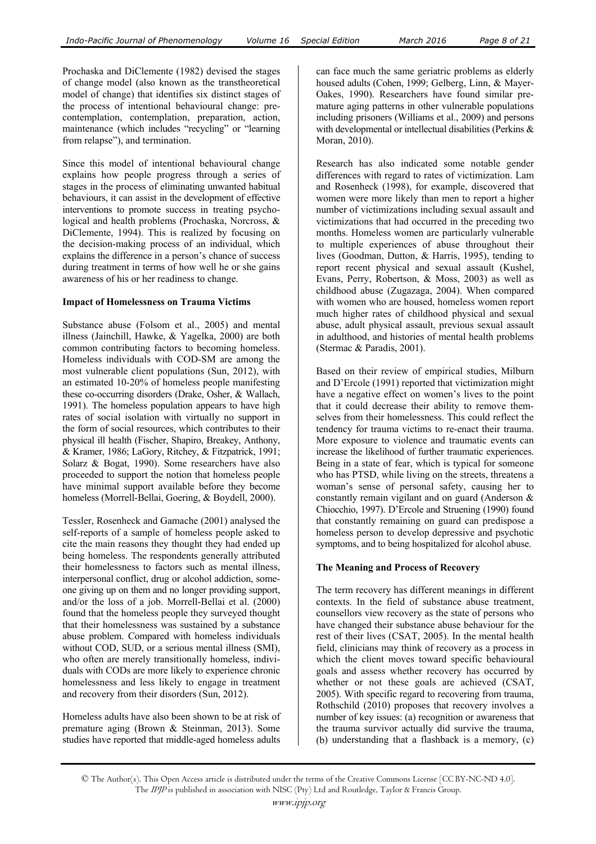Prochaska and DiClemente (1982) devised the stages of change model (also known as the transtheoretical model of change) that identifies six distinct stages of the process of intentional behavioural change: precontemplation, contemplation, preparation, action, maintenance (which includes "recycling" or "learning from relapse"), and termination.

Since this model of intentional behavioural change explains how people progress through a series of stages in the process of eliminating unwanted habitual behaviours, it can assist in the development of effective interventions to promote success in treating psychological and health problems (Prochaska, Norcross, & DiClemente, 1994). This is realized by focusing on the decision-making process of an individual, which explains the difference in a person's chance of success during treatment in terms of how well he or she gains awareness of his or her readiness to change.

# **Impact of Homelessness on Trauma Victims**

Substance abuse (Folsom et al., 2005) and mental illness (Jainchill, Hawke, & Yagelka, 2000) are both common contributing factors to becoming homeless. Homeless individuals with COD-SM are among the most vulnerable client populations (Sun, 2012), with an estimated 10-20% of homeless people manifesting these co-occurring disorders (Drake, Osher, & Wallach, 1991). The homeless population appears to have high rates of social isolation with virtually no support in the form of social resources, which contributes to their physical ill health (Fischer, Shapiro, Breakey, Anthony, & Kramer, 1986; LaGory, Ritchey, & Fitzpatrick, 1991; Solarz & Bogat, 1990). Some researchers have also proceeded to support the notion that homeless people have minimal support available before they become homeless (Morrell-Bellai, Goering, & Boydell, 2000).

Tessler, Rosenheck and Gamache (2001) analysed the self-reports of a sample of homeless people asked to cite the main reasons they thought they had ended up being homeless. The respondents generally attributed their homelessness to factors such as mental illness, interpersonal conflict, drug or alcohol addiction, someone giving up on them and no longer providing support, and/or the loss of a job. Morrell-Bellai et al. (2000) found that the homeless people they surveyed thought that their homelessness was sustained by a substance abuse problem. Compared with homeless individuals without COD, SUD, or a serious mental illness (SMI), who often are merely transitionally homeless, individuals with CODs are more likely to experience chronic homelessness and less likely to engage in treatment and recovery from their disorders (Sun, 2012).

Homeless adults have also been shown to be at risk of premature aging (Brown & Steinman, 2013). Some studies have reported that middle-aged homeless adults can face much the same geriatric problems as elderly housed adults (Cohen, 1999; Gelberg, Linn, & Mayer-Oakes, 1990). Researchers have found similar premature aging patterns in other vulnerable populations including prisoners (Williams et al., 2009) and persons with developmental or intellectual disabilities (Perkins & Moran, 2010).

Research has also indicated some notable gender differences with regard to rates of victimization. Lam and Rosenheck (1998), for example, discovered that women were more likely than men to report a higher number of victimizations including sexual assault and victimizations that had occurred in the preceding two months. Homeless women are particularly vulnerable to multiple experiences of abuse throughout their lives (Goodman, Dutton, & Harris, 1995), tending to report recent physical and sexual assault (Kushel, Evans, Perry, Robertson, & Moss, 2003) as well as childhood abuse (Zugazaga, 2004). When compared with women who are housed, homeless women report much higher rates of childhood physical and sexual abuse, adult physical assault, previous sexual assault in adulthood, and histories of mental health problems (Stermac & Paradis, 2001).

Based on their review of empirical studies, Milburn and D'Ercole (1991) reported that victimization might have a negative effect on women's lives to the point that it could decrease their ability to remove themselves from their homelessness. This could reflect the tendency for trauma victims to re-enact their trauma. More exposure to violence and traumatic events can increase the likelihood of further traumatic experiences. Being in a state of fear, which is typical for someone who has PTSD, while living on the streets, threatens a woman's sense of personal safety, causing her to constantly remain vigilant and on guard (Anderson & Chiocchio, 1997). D'Ercole and Struening (1990) found that constantly remaining on guard can predispose a homeless person to develop depressive and psychotic symptoms, and to being hospitalized for alcohol abuse.

# **The Meaning and Process of Recovery**

The term recovery has different meanings in different contexts. In the field of substance abuse treatment, counsellors view recovery as the state of persons who have changed their substance abuse behaviour for the rest of their lives (CSAT, 2005). In the mental health field, clinicians may think of recovery as a process in which the client moves toward specific behavioural goals and assess whether recovery has occurred by whether or not these goals are achieved (CSAT, 2005). With specific regard to recovering from trauma, Rothschild (2010) proposes that recovery involves a number of key issues: (a) recognition or awareness that the trauma survivor actually did survive the trauma, (b) understanding that a flashback is a memory, (c)

<sup>©</sup> The Author(s). This Open Access article is distributed under the terms of the Creative Commons License [CC BY-NC-ND 4.0]. The IPJP is published in association with NISC (Pty) Ltd and Routledge, Taylor & Francis Group.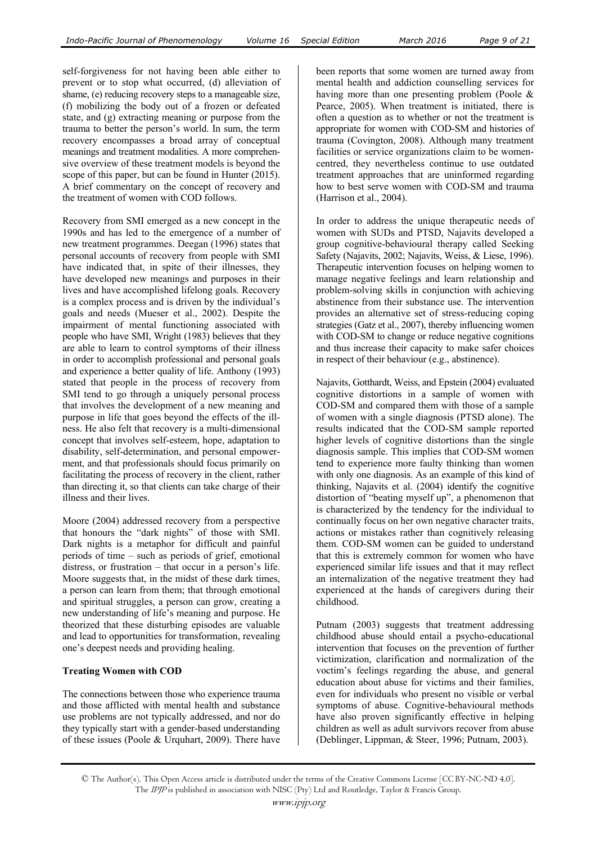self-forgiveness for not having been able either to prevent or to stop what occurred, (d) alleviation of shame, (e) reducing recovery steps to a manageable size, (f) mobilizing the body out of a frozen or defeated state, and (g) extracting meaning or purpose from the trauma to better the person's world. In sum, the term recovery encompasses a broad array of conceptual meanings and treatment modalities. A more comprehensive overview of these treatment models is beyond the scope of this paper, but can be found in Hunter (2015). A brief commentary on the concept of recovery and the treatment of women with COD follows.

Recovery from SMI emerged as a new concept in the 1990s and has led to the emergence of a number of new treatment programmes. Deegan (1996) states that personal accounts of recovery from people with SMI have indicated that, in spite of their illnesses, they have developed new meanings and purposes in their lives and have accomplished lifelong goals. Recovery is a complex process and is driven by the individual's goals and needs (Mueser et al., 2002). Despite the impairment of mental functioning associated with people who have SMI, Wright (1983) believes that they are able to learn to control symptoms of their illness in order to accomplish professional and personal goals and experience a better quality of life. Anthony (1993) stated that people in the process of recovery from SMI tend to go through a uniquely personal process that involves the development of a new meaning and purpose in life that goes beyond the effects of the illness. He also felt that recovery is a multi-dimensional concept that involves self-esteem, hope, adaptation to disability, self-determination, and personal empowerment, and that professionals should focus primarily on facilitating the process of recovery in the client, rather than directing it, so that clients can take charge of their illness and their lives.

Moore (2004) addressed recovery from a perspective that honours the "dark nights" of those with SMI. Dark nights is a metaphor for difficult and painful periods of time – such as periods of grief, emotional distress, or frustration – that occur in a person's life. Moore suggests that, in the midst of these dark times, a person can learn from them; that through emotional and spiritual struggles, a person can grow, creating a new understanding of life's meaning and purpose. He theorized that these disturbing episodes are valuable and lead to opportunities for transformation, revealing one's deepest needs and providing healing.

# **Treating Women with COD**

The connections between those who experience trauma and those afflicted with mental health and substance use problems are not typically addressed, and nor do they typically start with a gender-based understanding of these issues (Poole & Urquhart, 2009). There have been reports that some women are turned away from mental health and addiction counselling services for having more than one presenting problem (Poole & Pearce, 2005). When treatment is initiated, there is often a question as to whether or not the treatment is appropriate for women with COD-SM and histories of trauma (Covington, 2008). Although many treatment facilities or service organizations claim to be womencentred, they nevertheless continue to use outdated treatment approaches that are uninformed regarding how to best serve women with COD-SM and trauma (Harrison et al., 2004).

In order to address the unique therapeutic needs of women with SUDs and PTSD, Najavits developed a group cognitive-behavioural therapy called Seeking Safety (Najavits, 2002; Najavits, Weiss, & Liese, 1996). Therapeutic intervention focuses on helping women to manage negative feelings and learn relationship and problem-solving skills in conjunction with achieving abstinence from their substance use. The intervention provides an alternative set of stress-reducing coping strategies (Gatz et al., 2007), thereby influencing women with COD-SM to change or reduce negative cognitions and thus increase their capacity to make safer choices in respect of their behaviour (e.g., abstinence).

Najavits, Gotthardt, Weiss, and Epstein (2004) evaluated cognitive distortions in a sample of women with COD-SM and compared them with those of a sample of women with a single diagnosis (PTSD alone). The results indicated that the COD-SM sample reported higher levels of cognitive distortions than the single diagnosis sample. This implies that COD-SM women tend to experience more faulty thinking than women with only one diagnosis. As an example of this kind of thinking, Najavits et al. (2004) identify the cognitive distortion of "beating myself up", a phenomenon that is characterized by the tendency for the individual to continually focus on her own negative character traits, actions or mistakes rather than cognitively releasing them. COD-SM women can be guided to understand that this is extremely common for women who have experienced similar life issues and that it may reflect an internalization of the negative treatment they had experienced at the hands of caregivers during their childhood.

Putnam (2003) suggests that treatment addressing childhood abuse should entail a psycho-educational intervention that focuses on the prevention of further victimization, clarification and normalization of the voctim's feelings regarding the abuse, and general education about abuse for victims and their families, even for individuals who present no visible or verbal symptoms of abuse. Cognitive-behavioural methods have also proven significantly effective in helping children as well as adult survivors recover from abuse (Deblinger, Lippman, & Steer, 1996; Putnam, 2003).

<sup>©</sup> The Author(s). This Open Access article is distributed under the terms of the Creative Commons License [CC BY-NC-ND 4.0]. The IPJP is published in association with NISC (Pty) Ltd and Routledge, Taylor & Francis Group.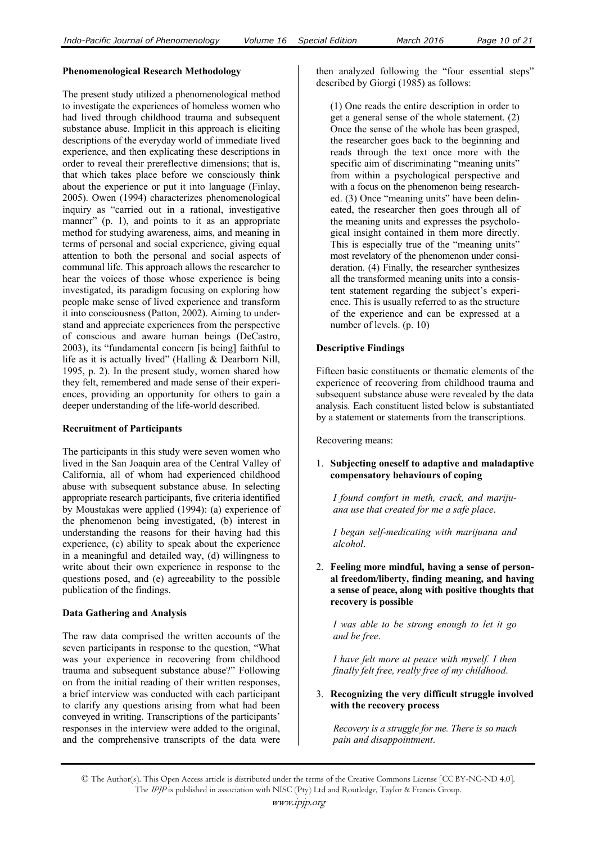# **Phenomenological Research Methodology**

The present study utilized a phenomenological method to investigate the experiences of homeless women who had lived through childhood trauma and subsequent substance abuse. Implicit in this approach is eliciting descriptions of the everyday world of immediate lived experience, and then explicating these descriptions in order to reveal their prereflective dimensions; that is, that which takes place before we consciously think about the experience or put it into language (Finlay, 2005). Owen (1994) characterizes phenomenological inquiry as "carried out in a rational, investigative manner" (p. 1), and points to it as an appropriate method for studying awareness, aims, and meaning in terms of personal and social experience, giving equal attention to both the personal and social aspects of communal life. This approach allows the researcher to hear the voices of those whose experience is being investigated, its paradigm focusing on exploring how people make sense of lived experience and transform it into consciousness (Patton, 2002). Aiming to understand and appreciate experiences from the perspective of conscious and aware human beings (DeCastro, 2003), its "fundamental concern [is being] faithful to life as it is actually lived" (Halling & Dearborn Nill, 1995, p. 2). In the present study, women shared how they felt, remembered and made sense of their experiences, providing an opportunity for others to gain a deeper understanding of the life-world described.

## **Recruitment of Participants**

The participants in this study were seven women who lived in the San Joaquin area of the Central Valley of California, all of whom had experienced childhood abuse with subsequent substance abuse. In selecting appropriate research participants, five criteria identified by Moustakas were applied (1994): (a) experience of the phenomenon being investigated, (b) interest in understanding the reasons for their having had this experience, (c) ability to speak about the experience in a meaningful and detailed way, (d) willingness to write about their own experience in response to the questions posed, and (e) agreeability to the possible publication of the findings.

## **Data Gathering and Analysis**

The raw data comprised the written accounts of the seven participants in response to the question, "What was your experience in recovering from childhood trauma and subsequent substance abuse?" Following on from the initial reading of their written responses, a brief interview was conducted with each participant to clarify any questions arising from what had been conveyed in writing. Transcriptions of the participants' responses in the interview were added to the original, and the comprehensive transcripts of the data were then analyzed following the "four essential steps" described by Giorgi (1985) as follows:

(1) One reads the entire description in order to get a general sense of the whole statement. (2) Once the sense of the whole has been grasped, the researcher goes back to the beginning and reads through the text once more with the specific aim of discriminating "meaning units" from within a psychological perspective and with a focus on the phenomenon being researched. (3) Once "meaning units" have been delineated, the researcher then goes through all of the meaning units and expresses the psychological insight contained in them more directly. This is especially true of the "meaning units" most revelatory of the phenomenon under consideration. (4) Finally, the researcher synthesizes all the transformed meaning units into a consistent statement regarding the subject's experience. This is usually referred to as the structure of the experience and can be expressed at a number of levels. (p. 10)

# **Descriptive Findings**

Fifteen basic constituents or thematic elements of the experience of recovering from childhood trauma and subsequent substance abuse were revealed by the data analysis. Each constituent listed below is substantiated by a statement or statements from the transcriptions.

Recovering means:

## 1. **Subjecting oneself to adaptive and maladaptive compensatory behaviours of coping**

*I found comfort in meth, crack, and marijuana use that created for me a safe place*.

*I began self-medicating with marijuana and alcohol*.

2. **Feeling more mindful, having a sense of personal freedom/liberty, finding meaning, and having a sense of peace, along with positive thoughts that recovery is possible**

*I was able to be strong enough to let it go and be free*.

*I have felt more at peace with myself. I then finally felt free, really free of my childhood*.

3. **Recognizing the very difficult struggle involved with the recovery process**

*Recovery is a struggle for me. There is so much pain and disappointment*.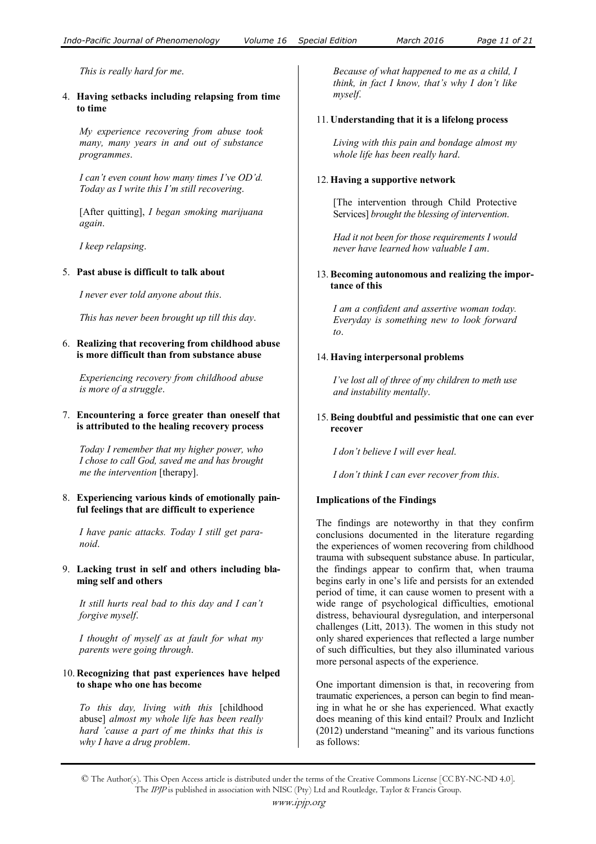*This is really hard for me*.

#### 4. **Having setbacks including relapsing from time to time**

*My experience recovering from abuse took many, many years in and out of substance programmes*.

*I can't even count how many times I've OD'd. Today as I write this I'm still recovering*.

[After quitting], *I began smoking marijuana again*.

*I keep relapsing*.

## 5. **Past abuse is difficult to talk about**

*I never ever told anyone about this*.

*This has never been brought up till this day*.

## 6. **Realizing that recovering from childhood abuse is more difficult than from substance abuse**

*Experiencing recovery from childhood abuse is more of a struggle*.

#### 7. **Encountering a force greater than oneself that is attributed to the healing recovery process**

*Today I remember that my higher power, who I chose to call God, saved me and has brought me the intervention* [therapy].

#### 8. **Experiencing various kinds of emotionally painful feelings that are difficult to experience**

*I have panic attacks. Today I still get paranoid*.

#### 9. **Lacking trust in self and others including blaming self and others**

*It still hurts real bad to this day and I can't forgive myself*.

*I thought of myself as at fault for what my parents were going through*.

## 10. **Recognizing that past experiences have helped to shape who one has become**

*To this day, living with this* [childhood abuse] *almost my whole life has been really hard 'cause a part of me thinks that this is why I have a drug problem*.

*Because of what happened to me as a child, I think, in fact I know, that's why I don't like myself*.

#### 11. **Understanding that it is a lifelong process**

*Living with this pain and bondage almost my whole life has been really hard*.

#### 12. **Having a supportive network**

[The intervention through Child Protective Services] *brought the blessing of intervention*.

*Had it not been for those requirements I would never have learned how valuable I am*.

#### 13. **Becoming autonomous and realizing the importance of this**

*I am a confident and assertive woman today. Everyday is something new to look forward to*.

## 14. **Having interpersonal problems**

*I've lost all of three of my children to meth use and instability mentally*.

# 15. **Being doubtful and pessimistic that one can ever recover**

*I don't believe I will ever heal*.

*I don't think I can ever recover from this*.

#### **Implications of the Findings**

The findings are noteworthy in that they confirm conclusions documented in the literature regarding the experiences of women recovering from childhood trauma with subsequent substance abuse. In particular, the findings appear to confirm that, when trauma begins early in one's life and persists for an extended period of time, it can cause women to present with a wide range of psychological difficulties, emotional distress, behavioural dysregulation, and interpersonal challenges (Litt, 2013). The women in this study not only shared experiences that reflected a large number of such difficulties, but they also illuminated various more personal aspects of the experience.

One important dimension is that, in recovering from traumatic experiences, a person can begin to find meaning in what he or she has experienced. What exactly does meaning of this kind entail? Proulx and Inzlicht (2012) understand "meaning" and its various functions as follows:

<sup>©</sup> The Author(s). This Open Access article is distributed under the terms of the Creative Commons License [CC BY-NC-ND 4.0]. The IPJP is published in association with NISC (Pty) Ltd and Routledge, Taylor & Francis Group.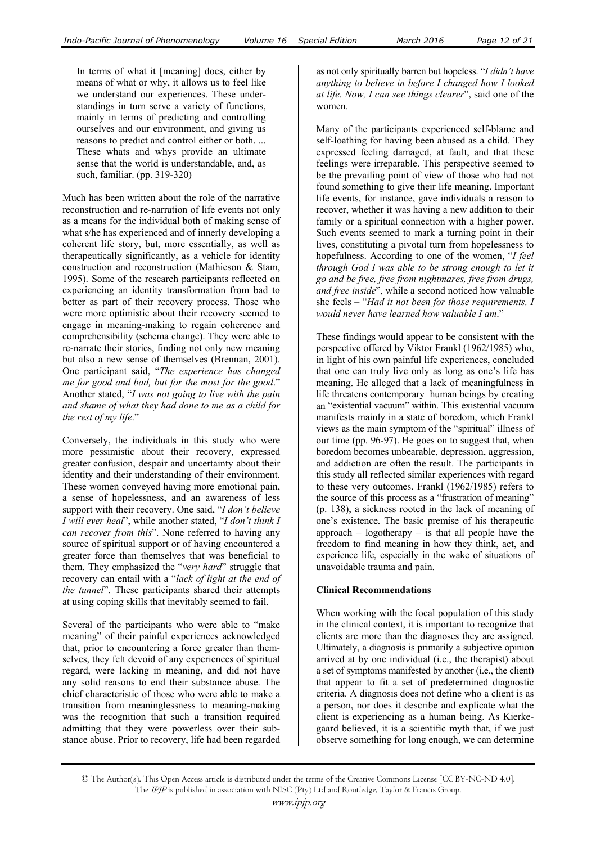In terms of what it [meaning] does, either by means of what or why, it allows us to feel like we understand our experiences. These understandings in turn serve a variety of functions, mainly in terms of predicting and controlling ourselves and our environment, and giving us reasons to predict and control either or both. ... These whats and whys provide an ultimate sense that the world is understandable, and, as such, familiar. (pp. 319-320)

Much has been written about the role of the narrative reconstruction and re-narration of life events not only as a means for the individual both of making sense of what s/he has experienced and of innerly developing a coherent life story, but, more essentially, as well as therapeutically significantly, as a vehicle for identity construction and reconstruction (Mathieson & Stam, 1995). Some of the research participants reflected on experiencing an identity transformation from bad to better as part of their recovery process. Those who were more optimistic about their recovery seemed to engage in meaning-making to regain coherence and comprehensibility (schema change). They were able to re-narrate their stories, finding not only new meaning but also a new sense of themselves (Brennan, 2001). One participant said, "*The experience has changed me for good and bad, but for the most for the good*." Another stated, "*I was not going to live with the pain and shame of what they had done to me as a child for the rest of my life*."

Conversely, the individuals in this study who were more pessimistic about their recovery, expressed greater confusion, despair and uncertainty about their identity and their understanding of their environment. These women conveyed having more emotional pain, a sense of hopelessness, and an awareness of less support with their recovery. One said, "*I don't believe I will ever heal*", while another stated, "*I don't think I can recover from this*". None referred to having any source of spiritual support or of having encountered a greater force than themselves that was beneficial to them. They emphasized the "*very hard*" struggle that recovery can entail with a "*lack of light at the end of the tunnel*". These participants shared their attempts at using coping skills that inevitably seemed to fail.

Several of the participants who were able to "make meaning" of their painful experiences acknowledged that, prior to encountering a force greater than themselves, they felt devoid of any experiences of spiritual regard, were lacking in meaning, and did not have any solid reasons to end their substance abuse. The chief characteristic of those who were able to make a transition from meaninglessness to meaning-making was the recognition that such a transition required admitting that they were powerless over their substance abuse. Prior to recovery, life had been regarded as not only spiritually barren but hopeless. "*I didn't have anything to believe in before I changed how I looked at life. Now, I can see things clearer*", said one of the women.

Many of the participants experienced self-blame and self-loathing for having been abused as a child. They expressed feeling damaged, at fault, and that these feelings were irreparable. This perspective seemed to be the prevailing point of view of those who had not found something to give their life meaning. Important life events, for instance, gave individuals a reason to recover, whether it was having a new addition to their family or a spiritual connection with a higher power. Such events seemed to mark a turning point in their lives, constituting a pivotal turn from hopelessness to hopefulness. According to one of the women, "*I feel through God I was able to be strong enough to let it go and be free, free from nightmares, free from drugs, and free inside*", while a second noticed how valuable she feels – "*Had it not been for those requirements, I would never have learned how valuable I am*."

These findings would appear to be consistent with the perspective offered by Viktor Frankl (1962/1985) who, in light of his own painful life experiences, concluded that one can truly live only as long as one's life has meaning. He alleged that a lack of meaningfulness in life threatens contemporary human beings by creating an "existential vacuum" within. This existential vacuum manifests mainly in a state of boredom, which Frankl views as the main symptom of the "spiritual" illness of our time (pp. 96-97). He goes on to suggest that, when boredom becomes unbearable, depression, aggression, and addiction are often the result. The participants in this study all reflected similar experiences with regard to these very outcomes. Frankl (1962/1985) refers to the source of this process as a "frustration of meaning" (p. 138), a sickness rooted in the lack of meaning of one's existence. The basic premise of his therapeutic approach – logotherapy – is that all people have the freedom to find meaning in how they think, act, and experience life, especially in the wake of situations of unavoidable trauma and pain.

## **Clinical Recommendations**

When working with the focal population of this study in the clinical context, it is important to recognize that clients are more than the diagnoses they are assigned. Ultimately, a diagnosis is primarily a subjective opinion arrived at by one individual (i.e., the therapist) about a set of symptoms manifested by another (i.e., the client) that appear to fit a set of predetermined diagnostic criteria. A diagnosis does not define who a client is as a person, nor does it describe and explicate what the client is experiencing as a human being. As Kierkegaard believed, it is a scientific myth that, if we just observe something for long enough, we can determine

<sup>©</sup> The Author(s). This Open Access article is distributed under the terms of the Creative Commons License [CC BY-NC-ND 4.0]. The IPJP is published in association with NISC (Pty) Ltd and Routledge, Taylor & Francis Group.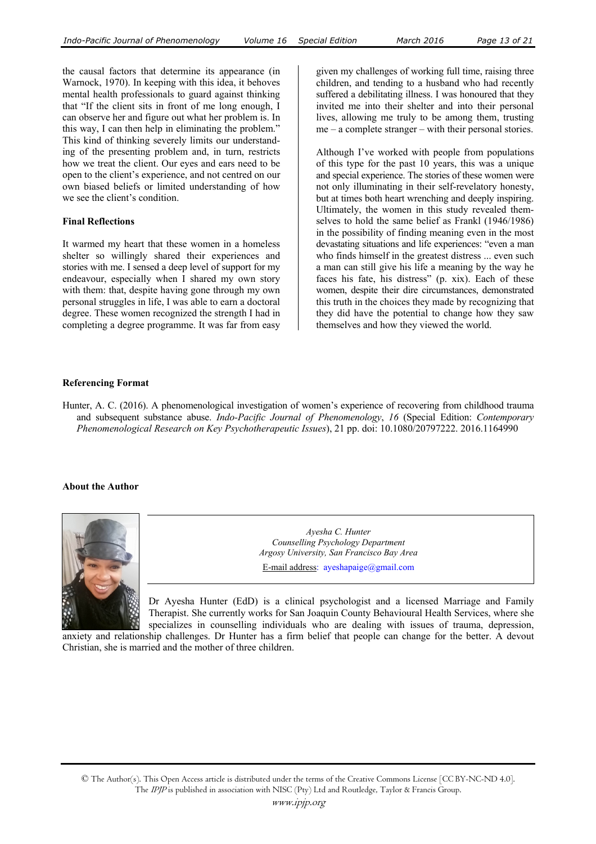the causal factors that determine its appearance (in Warnock, 1970). In keeping with this idea, it behoves mental health professionals to guard against thinking that "If the client sits in front of me long enough, I can observe her and figure out what her problem is. In this way, I can then help in eliminating the problem." This kind of thinking severely limits our understanding of the presenting problem and, in turn, restricts how we treat the client. Our eyes and ears need to be open to the client's experience, and not centred on our own biased beliefs or limited understanding of how we see the client's condition.

# **Final Reflections**

It warmed my heart that these women in a homeless shelter so willingly shared their experiences and stories with me. I sensed a deep level of support for my endeavour, especially when I shared my own story with them: that, despite having gone through my own personal struggles in life, I was able to earn a doctoral degree. These women recognized the strength I had in completing a degree programme. It was far from easy given my challenges of working full time, raising three children, and tending to a husband who had recently suffered a debilitating illness. I was honoured that they invited me into their shelter and into their personal lives, allowing me truly to be among them, trusting me – a complete stranger – with their personal stories.

Although I've worked with people from populations of this type for the past 10 years, this was a unique and special experience. The stories of these women were not only illuminating in their self-revelatory honesty, but at times both heart wrenching and deeply inspiring. Ultimately, the women in this study revealed themselves to hold the same belief as Frankl (1946/1986) in the possibility of finding meaning even in the most devastating situations and life experiences: "even a man who finds himself in the greatest distress ... even such a man can still give his life a meaning by the way he faces his fate, his distress" (p. xix). Each of these women, despite their dire circumstances, demonstrated this truth in the choices they made by recognizing that they did have the potential to change how they saw themselves and how they viewed the world.

## **Referencing Format**

Hunter, A. C. (2016). A phenomenological investigation of women's experience of recovering from childhood trauma and subsequent substance abuse. *Indo-Pacific Journal of Phenomenology*, *16* (Special Edition: *Contemporary Phenomenological Research on Key Psychotherapeutic Issues*), 21 pp. doi: 10.1080/20797222. 2016.1164990

## **About the Author**



*Ayesha C. Hunter Counselling Psychology Department Argosy University, San Francisco Bay Area* 

E-mail address: ayeshapaige@gmail.com

Dr Ayesha Hunter (EdD) is a clinical psychologist and a licensed Marriage and Family Therapist. She currently works for San Joaquin County Behavioural Health Services, where she specializes in counselling individuals who are dealing with issues of trauma, depression, anxiety and relationship challenges. Dr Hunter has a firm belief that people can change for the better. A devout Christian, she is married and the mother of three children.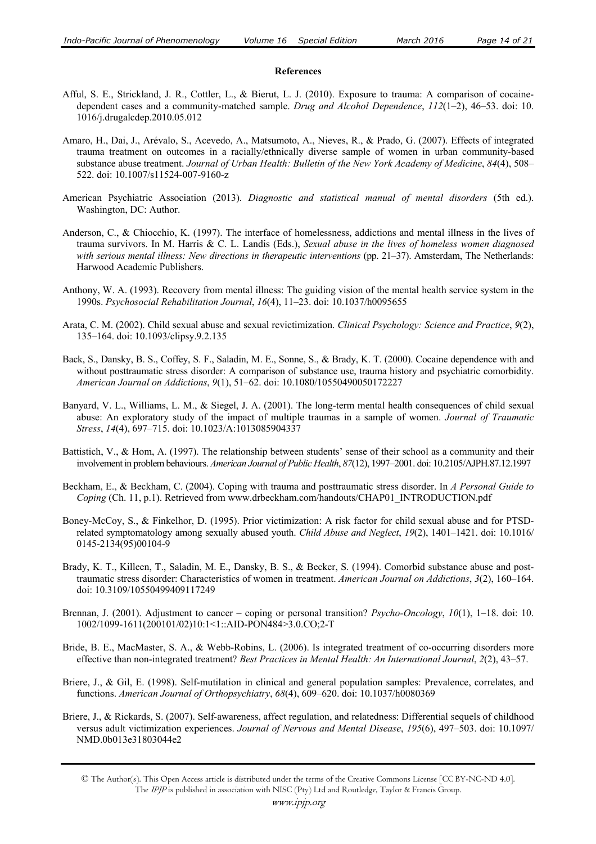#### **References**

- Afful, S. E., Strickland, J. R., Cottler, L., & Bierut, L. J. (2010). Exposure to trauma: A comparison of cocainedependent cases and a community-matched sample. *Drug and Alcohol Dependence*, *112*(1–2), 46–53. doi: 10. 1016/j.drugalcdep.2010.05.012
- Amaro, H., Dai, J., Arévalo, S., Acevedo, A., Matsumoto, A., Nieves, R., & Prado, G. (2007). Effects of integrated trauma treatment on outcomes in a racially/ethnically diverse sample of women in urban community-based substance abuse treatment. *Journal of Urban Health: Bulletin of the New York Academy of Medicine*, *84*(4), 508– 522. doi: 10.1007/s11524-007-9160-z
- American Psychiatric Association (2013). *Diagnostic and statistical manual of mental disorders* (5th ed.). Washington, DC: Author.
- Anderson, C., & Chiocchio, K. (1997). The interface of homelessness, addictions and mental illness in the lives of trauma survivors. In M. Harris & C. L. Landis (Eds.), *Sexual abuse in the lives of homeless women diagnosed with serious mental illness: New directions in therapeutic interventions* (pp. 21–37). Amsterdam, The Netherlands: Harwood Academic Publishers.
- Anthony, W. A. (1993). Recovery from mental illness: The guiding vision of the mental health service system in the 1990s. *Psychosocial Rehabilitation Journal*, *16*(4), 11–23. doi: 10.1037/h0095655
- Arata, C. M. (2002). Child sexual abuse and sexual revictimization. *Clinical Psychology: Science and Practice*, *9*(2), 135–164. doi: 10.1093/clipsy.9.2.135
- Back, S., Dansky, B. S., Coffey, S. F., Saladin, M. E., Sonne, S., & Brady, K. T. (2000). Cocaine dependence with and without posttraumatic stress disorder: A comparison of substance use, trauma history and psychiatric comorbidity. *American Journal on Addictions*, *9*(1), 51–62. doi: 10.1080/10550490050172227
- Banyard, V. L., Williams, L. M., & Siegel, J. A. (2001). The long-term mental health consequences of child sexual abuse: An exploratory study of the impact of multiple traumas in a sample of women. *Journal of Traumatic Stress*, *14*(4), 697–715. doi: 10.1023/A:1013085904337
- Battistich, V., & Hom, A. (1997). The relationship between students' sense of their school as a community and their involvement in problem behaviours. *American Journal of Public Health*, *87*(12), 1997–2001. doi: 10.2105/AJPH.87.12.1997
- Beckham, E., & Beckham, C. (2004). Coping with trauma and posttraumatic stress disorder. In *A Personal Guide to Coping* (Ch. 11, p.1). Retrieved from www.drbeckham.com/handouts/CHAP01\_INTRODUCTION.pdf
- Boney-McCoy, S., & Finkelhor, D. (1995). Prior victimization: A risk factor for child sexual abuse and for PTSDrelated symptomatology among sexually abused youth. *Child Abuse and Neglect*, *19*(2), 1401–1421. doi: 10.1016/ 0145-2134(95)00104-9
- Brady, K. T., Killeen, T., Saladin, M. E., Dansky, B. S., & Becker, S. (1994). Comorbid substance abuse and posttraumatic stress disorder: Characteristics of women in treatment. *American Journal on Addictions*, *3*(2), 160–164. doi: 10.3109/10550499409117249
- Brennan, J. (2001). Adjustment to cancer coping or personal transition? *Psycho-Oncology*, *10*(1), 1–18. doi: 10. 1002/1099-1611(200101/02)10:1<1::AID-PON484>3.0.CO;2-T
- Bride, B. E., MacMaster, S. A., & Webb-Robins, L. (2006). Is integrated treatment of co-occurring disorders more effective than non-integrated treatment? *Best Practices in Mental Health: An International Journal*, *2*(2), 43–57.
- Briere, J., & Gil, E. (1998). Self-mutilation in clinical and general population samples: Prevalence, correlates, and functions. *American Journal of Orthopsychiatry*, *68*(4), 609–620. doi: 10.1037/h0080369
- Briere, J., & Rickards, S. (2007). Self-awareness, affect regulation, and relatedness: Differential sequels of childhood versus adult victimization experiences. *Journal of Nervous and Mental Disease*, *195*(6), 497–503. doi: 10.1097/ NMD.0b013e31803044e2

<sup>©</sup> The Author(s). This Open Access article is distributed under the terms of the Creative Commons License [CC BY-NC-ND 4.0]. The IPJP is published in association with NISC (Pty) Ltd and Routledge, Taylor & Francis Group.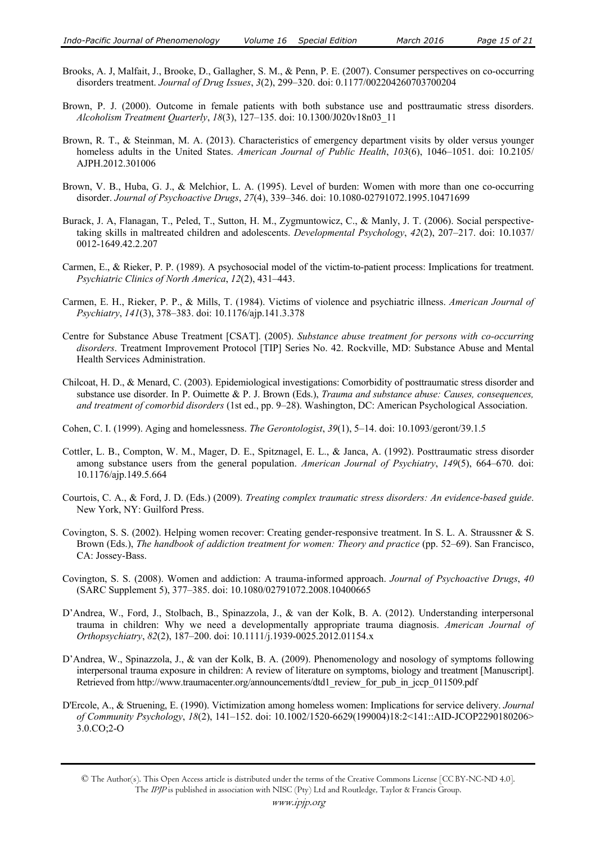- Brooks, A. J, Malfait, J., Brooke, D., Gallagher, S. M., & Penn, P. E. (2007). Consumer perspectives on co-occurring disorders treatment. *Journal of Drug Issues*, *3*(2), 299–320. doi: 0.1177/002204260703700204
- Brown, P. J. (2000). Outcome in female patients with both substance use and posttraumatic stress disorders. *Alcoholism Treatment Quarterly*, *18*(3), 127–135. doi: 10.1300/J020v18n03\_11
- Brown, R. T., & Steinman, M. A. (2013). Characteristics of emergency department visits by older versus younger homeless adults in the United States. *American Journal of Public Health*, *103*(6), 1046–1051. doi: 10.2105/ AJPH.2012.301006
- Brown, V. B., Huba, G. J., & Melchior, L. A. (1995). Level of burden: Women with more than one co-occurring disorder. *Journal of Psychoactive Drugs*, *27*(4), 339–346. doi: 10.1080-02791072.1995.10471699
- Burack, J. A, Flanagan, T., Peled, T., Sutton, H. M., Zygmuntowicz, C., & Manly, J. T. (2006). Social perspectivetaking skills in maltreated children and adolescents. *Developmental Psychology*, *42*(2), 207–217. doi: 10.1037/ 0012-1649.42.2.207
- Carmen, E., & Rieker, P. P. (1989). A psychosocial model of the victim-to-patient process: Implications for treatment. *Psychiatric Clinics of North America*, *12*(2), 431–443.
- Carmen, E. H., Rieker, P. P., & Mills, T. (1984). Victims of violence and psychiatric illness. *American Journal of Psychiatry*, *141*(3), 378–383. doi: 10.1176/ajp.141.3.378
- Centre for Substance Abuse Treatment [CSAT]. (2005). *Substance abuse treatment for persons with co-occurring disorders*. Treatment Improvement Protocol [TIP] Series No. 42. Rockville, MD: Substance Abuse and Mental Health Services Administration.
- Chilcoat, H. D., & Menard, C. (2003). Epidemiological investigations: Comorbidity of posttraumatic stress disorder and substance use disorder. In P. Ouimette & P. J. Brown (Eds.), *Trauma and substance abuse: Causes, consequences, and treatment of comorbid disorders* (1st ed., pp. 9–28). Washington, DC: American Psychological Association.
- Cohen, C. I. (1999). Aging and homelessness. *The Gerontologist*, *39*(1), 5–14. doi: 10.1093/geront/39.1.5
- Cottler, L. B., Compton, W. M., Mager, D. E., Spitznagel, E. L., & Janca, A. (1992). Posttraumatic stress disorder among substance users from the general population. *American Journal of Psychiatry*, *149*(5), 664–670. doi: 10.1176/ajp.149.5.664
- Courtois, C. A., & Ford, J. D. (Eds.) (2009). *Treating complex traumatic stress disorders: An evidence-based guide*. New York, NY: Guilford Press.
- Covington, S. S. (2002). Helping women recover: Creating gender-responsive treatment. In S. L. A. Straussner & S. Brown (Eds.), *The handbook of addiction treatment for women: Theory and practice* (pp. 52–69). San Francisco, CA: Jossey-Bass.
- Covington, S. S. (2008). Women and addiction: A trauma-informed approach. *Journal of Psychoactive Drugs*, *40* (SARC Supplement 5), 377–385. doi: 10.1080/02791072.2008.10400665
- D'Andrea, W., Ford, J., Stolbach, B., Spinazzola, J., & van der Kolk, B. A. (2012). Understanding interpersonal trauma in children: Why we need a developmentally appropriate trauma diagnosis. *American Journal of Orthopsychiatry*, *82*(2), 187–200. doi: 10.1111/j.1939-0025.2012.01154.x
- D'Andrea, W., Spinazzola, J., & van der Kolk, B. A. (2009). Phenomenology and nosology of symptoms following interpersonal trauma exposure in children: A review of literature on symptoms, biology and treatment [Manuscript]. Retrieved from http://www.traumacenter.org/announcements/dtd1\_review\_for\_pub\_in\_jccp\_011509.pdf
- D'Ercole, A., & Struening, E. (1990). Victimization among homeless women: Implications for service delivery. *Journal of Community Psychology*, *18*(2), 141–152. doi: 10.1002/1520-6629(199004)18:2<141::AID-JCOP2290180206> 3.0.CO;2-O

<sup>©</sup> The Author(s). This Open Access article is distributed under the terms of the Creative Commons License [CC BY-NC-ND 4.0]. The IPJP is published in association with NISC (Pty) Ltd and Routledge, Taylor & Francis Group.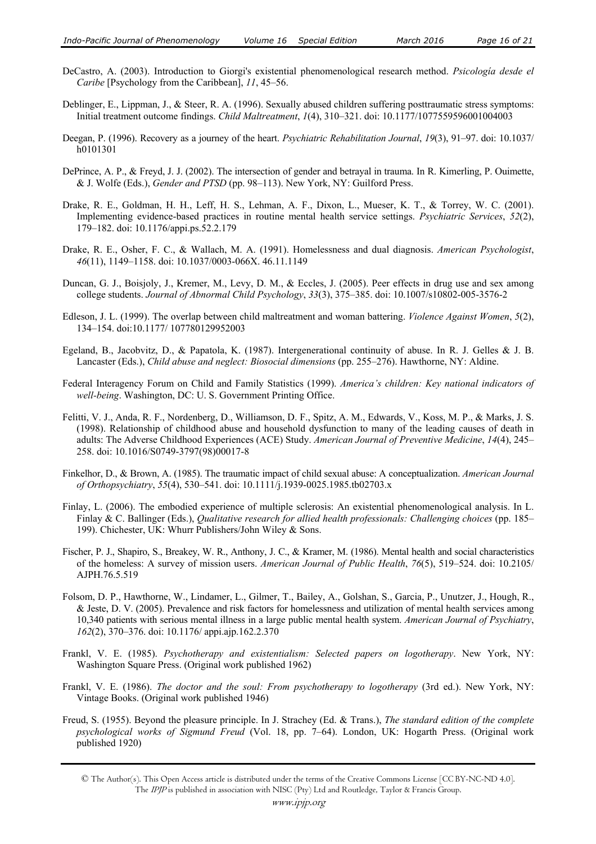- DeCastro, A. (2003). Introduction to Giorgi's existential phenomenological research method. *Psicología desde el Caribe* [Psychology from the Caribbean], *11*, 45–56.
- Deblinger, E., Lippman, J., & Steer, R. A. (1996). Sexually abused children suffering posttraumatic stress symptoms: Initial treatment outcome findings. *Child Maltreatment*, *1*(4), 310–321. doi: 10.1177/1077559596001004003
- Deegan, P. (1996). Recovery as a journey of the heart. *Psychiatric Rehabilitation Journal*, *19*(3), 91–97. doi: 10.1037/ h0101301
- DePrince, A. P., & Freyd, J. J. (2002). The intersection of gender and betrayal in trauma. In R. Kimerling, P. Ouimette, & J. Wolfe (Eds.), *Gender and PTSD* (pp. 98–113). New York, NY: Guilford Press.
- Drake, R. E., Goldman, H. H., Leff, H. S., Lehman, A. F., Dixon, L., Mueser, K. T., & Torrey, W. C. (2001). Implementing evidence-based practices in routine mental health service settings. *Psychiatric Services*, *52*(2), 179–182. doi: 10.1176/appi.ps.52.2.179
- Drake, R. E., Osher, F. C., & Wallach, M. A. (1991). Homelessness and dual diagnosis. *American Psychologist*, *46*(11), 1149–1158. doi: 10.1037/0003-066X. 46.11.1149
- Duncan, G. J., Boisjoly, J., Kremer, M., Levy, D. M., & Eccles, J. (2005). Peer effects in drug use and sex among college students. *Journal of Abnormal Child Psychology*, *33*(3), 375–385. doi: 10.1007/s10802-005-3576-2
- Edleson, J. L. (1999). The overlap between child maltreatment and woman battering. *Violence Against Women*, *5*(2), 134–154. doi:10.1177/ 107780129952003
- Egeland, B., Jacobvitz, D., & Papatola, K. (1987). Intergenerational continuity of abuse. In R. J. Gelles & J. B. Lancaster (Eds.), *Child abuse and neglect: Biosocial dimensions* (pp. 255–276). Hawthorne, NY: Aldine.
- Federal Interagency Forum on Child and Family Statistics (1999). *America's children: Key national indicators of well-being*. Washington, DC: U. S. Government Printing Office.
- Felitti, V. J., Anda, R. F., Nordenberg, D., Williamson, D. F., Spitz, A. M., Edwards, V., Koss, M. P., & Marks, J. S. (1998). Relationship of childhood abuse and household dysfunction to many of the leading causes of death in adults: The Adverse Childhood Experiences (ACE) Study. *American Journal of Preventive Medicine*, *14*(4), 245– 258. doi: 10.1016/S0749-3797(98)00017-8
- Finkelhor, D., & Brown, A. (1985). The traumatic impact of child sexual abuse: A conceptualization. *American Journal of Orthopsychiatry*, *55*(4), 530–541. doi: 10.1111/j.1939-0025.1985.tb02703.x
- Finlay, L. (2006). The embodied experience of multiple sclerosis: An existential phenomenological analysis. In L. Finlay & C. Ballinger (Eds.), *Qualitative research for allied health professionals: Challenging choices* (pp. 185– 199). Chichester, UK: Whurr Publishers/John Wiley & Sons.
- Fischer, P. J., Shapiro, S., Breakey, W. R., Anthony, J. C., & Kramer, M. (1986). Mental health and social characteristics of the homeless: A survey of mission users. *American Journal of Public Health*, *76*(5), 519–524. doi: 10.2105/ AJPH.76.5.519
- Folsom, D. P., Hawthorne, W., Lindamer, L., Gilmer, T., Bailey, A., Golshan, S., Garcia, P., Unutzer, J., Hough, R., & Jeste, D. V. (2005). Prevalence and risk factors for homelessness and utilization of mental health services among 10,340 patients with serious mental illness in a large public mental health system. *American Journal of Psychiatry*, *162*(2), 370–376. doi: 10.1176/ appi.ajp.162.2.370
- Frankl, V. E. (1985). *Psychotherapy and existentialism: Selected papers on logotherapy*. New York, NY: Washington Square Press. (Original work published 1962)
- Frankl, V. E. (1986). *The doctor and the soul: From psychotherapy to logotherapy* (3rd ed.). New York, NY: Vintage Books. (Original work published 1946)
- Freud, S. (1955). Beyond the pleasure principle. In J. Strachey (Ed. & Trans.), *The standard edition of the complete psychological works of Sigmund Freud* (Vol. 18, pp. 7–64). London, UK: Hogarth Press. (Original work published 1920)

<sup>©</sup> The Author(s). This Open Access article is distributed under the terms of the Creative Commons License [CC BY-NC-ND 4.0]. The IPJP is published in association with NISC (Pty) Ltd and Routledge, Taylor & Francis Group.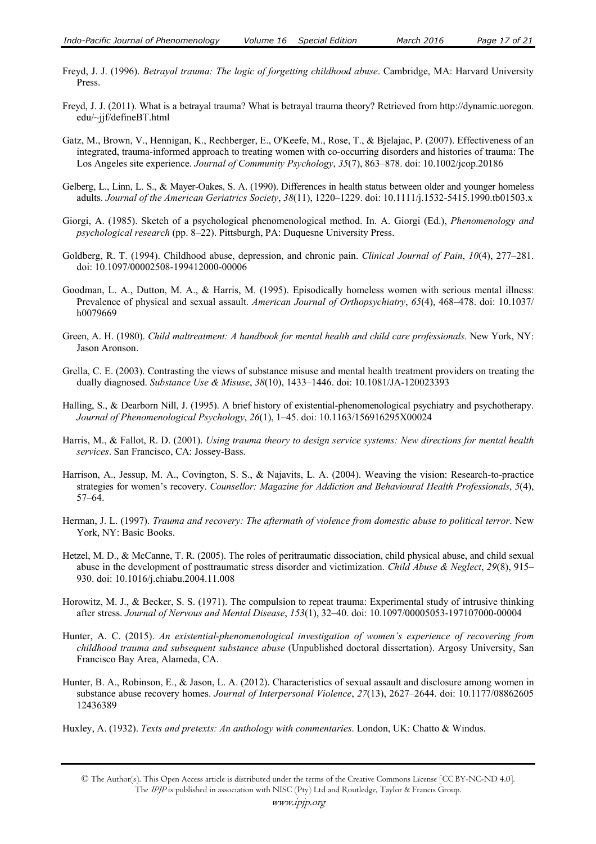- Freyd, J. J. (1996). *Betrayal trauma: The logic of forgetting childhood abuse*. Cambridge, MA: Harvard University Press.
- Freyd, J. J. (2011). What is a betrayal trauma? What is betrayal trauma theory? Retrieved from http://dynamic.uoregon. edu/~jjf/defineBT.html
- Gatz, M., Brown, V., Hennigan, K., Rechberger, E., O'Keefe, M., Rose, T., & Bjelajac, P. (2007). Effectiveness of an integrated, trauma-informed approach to treating women with co-occurring disorders and histories of trauma: The Los Angeles site experience. *Journal of Community Psychology*, *35*(7), 863–878. doi: 10.1002/jcop.20186
- Gelberg, L., Linn, L. S., & Mayer-Oakes, S. A. (1990). Differences in health status between older and younger homeless adults. *Journal of the American Geriatrics Society*, *38*(11), 1220–1229. doi: 10.1111/j.1532-5415.1990.tb01503.x
- Giorgi, A. (1985). Sketch of a psychological phenomenological method. In. A. Giorgi (Ed.), *Phenomenology and psychological research* (pp. 8–22). Pittsburgh, PA: Duquesne University Press.
- Goldberg, R. T. (1994). Childhood abuse, depression, and chronic pain. *Clinical Journal of Pain*, *10*(4), 277–281. doi: 10.1097/00002508-199412000-00006
- Goodman, L. A., Dutton, M. A., & Harris, M. (1995). Episodically homeless women with serious mental illness: Prevalence of physical and sexual assault. *American Journal of Orthopsychiatry*, *65*(4), 468–478. doi: 10.1037/ h0079669
- Green, A. H. (1980). *Child maltreatment: A handbook for mental health and child care professionals*. New York, NY: Jason Aronson.
- Grella, C. E. (2003). Contrasting the views of substance misuse and mental health treatment providers on treating the dually diagnosed. *Substance Use & Misuse*, *38*(10), 1433–1446. doi: 10.1081/JA-120023393
- Halling, S., & Dearborn Nill, J. (1995). A brief history of existential-phenomenological psychiatry and psychotherapy. *Journal of Phenomenological Psychology*, *26*(1), 1–45. doi: 10.1163/156916295X00024
- Harris, M., & Fallot, R. D. (2001). *Using trauma theory to design service systems: New directions for mental health services*. San Francisco, CA: Jossey-Bass.
- Harrison, A., Jessup, M. A., Covington, S. S., & Najavits, L. A. (2004). Weaving the vision: Research-to-practice strategies for women's recovery. *Counsellor: Magazine for Addiction and Behavioural Health Professionals*, *5*(4), 57–64.
- Herman, J. L. (1997). *Trauma and recovery: The aftermath of violence from domestic abuse to political terror*. New York, NY: Basic Books.
- Hetzel, M. D., & McCanne, T. R. (2005). The roles of peritraumatic dissociation, child physical abuse, and child sexual abuse in the development of posttraumatic stress disorder and victimization. *Child Abuse & Neglect*, *29*(8), 915– 930. doi: 10.1016/j.chiabu.2004.11.008
- Horowitz, M. J., & Becker, S. S. (1971). The compulsion to repeat trauma: Experimental study of intrusive thinking after stress. *Journal of Nervous and Mental Disease*, *153*(1), 32–40. doi: 10.1097/00005053-197107000-00004
- Hunter, A. C. (2015). *An existential-phenomenological investigation of women's experience of recovering from childhood trauma and subsequent substance abuse* (Unpublished doctoral dissertation). Argosy University, San Francisco Bay Area, Alameda, CA.
- Hunter, B. A., Robinson, E., & Jason, L. A. (2012). Characteristics of sexual assault and disclosure among women in substance abuse recovery homes. *Journal of Interpersonal Violence*, *27*(13), 2627–2644. doi: 10.1177/08862605 12436389
- Huxley, A. (1932). *Texts and pretexts: An anthology with commentaries*. London, UK: Chatto & Windus.

<sup>©</sup> The Author(s). This Open Access article is distributed under the terms of the Creative Commons License [CC BY-NC-ND 4.0]. The IPJP is published in association with NISC (Pty) Ltd and Routledge, Taylor & Francis Group.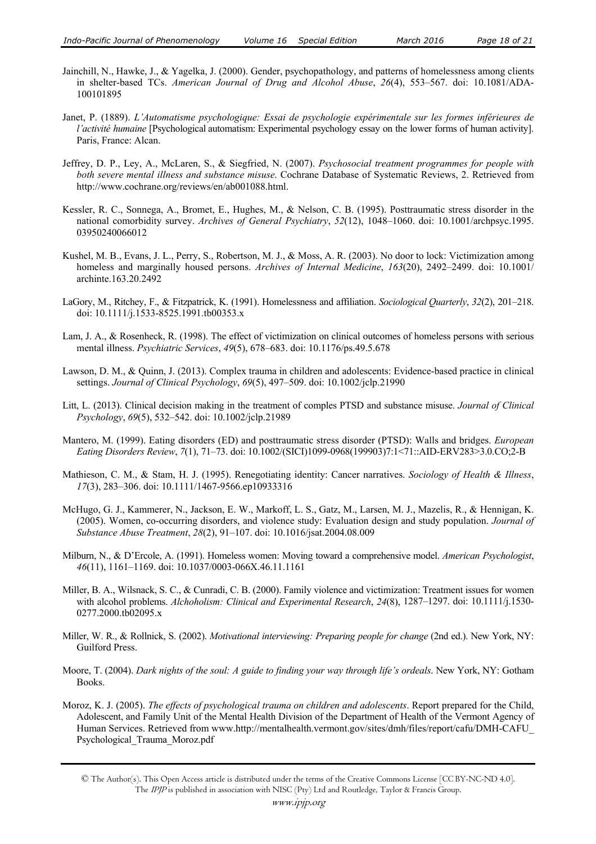- Jainchill, N., Hawke, J., & Yagelka, J. (2000). Gender, psychopathology, and patterns of homelessness among clients in shelter-based TCs. *American Journal of Drug and Alcohol Abuse*, *26*(4), 553–567. doi: 10.1081/ADA-100101895
- Janet, P. (1889). *L'Automatisme psychologique: Essai de psychologie expérimentale sur les formes inférieures de l'activité humaine* [Psychological automatism: Experimental psychology essay on the lower forms of human activity]. Paris, France: Alcan.
- Jeffrey, D. P., Ley, A., McLaren, S., & Siegfried, N. (2007). *Psychosocial treatment programmes for people with both severe mental illness and substance misuse*. Cochrane Database of Systematic Reviews, 2. Retrieved from http://www.cochrane.org/reviews/en/ab001088.html.
- Kessler, R. C., Sonnega, A., Bromet, E., Hughes, M., & Nelson, C. B. (1995). Posttraumatic stress disorder in the national comorbidity survey. *Archives of General Psychiatry*, *52*(12), 1048–1060. doi: 10.1001/archpsyc.1995. 03950240066012
- Kushel, M. B., Evans, J. L., Perry, S., Robertson, M. J., & Moss, A. R. (2003). No door to lock: Victimization among homeless and marginally housed persons. *Archives of Internal Medicine*, *163*(20), 2492–2499. doi: 10.1001/ archinte.163.20.2492
- LaGory, M., Ritchey, F., & Fitzpatrick, K. (1991). Homelessness and affiliation. *Sociological Quarterly*, *32*(2), 201–218. doi: 10.1111/j.1533-8525.1991.tb00353.x
- Lam, J. A., & Rosenheck, R. (1998). The effect of victimization on clinical outcomes of homeless persons with serious mental illness. *Psychiatric Services*, *49*(5), 678–683. doi: 10.1176/ps.49.5.678
- Lawson, D. M., & Quinn, J. (2013). Complex trauma in children and adolescents: Evidence-based practice in clinical settings. *Journal of Clinical Psychology*, *69*(5), 497–509. doi: 10.1002/jclp.21990
- Litt, L. (2013). Clinical decision making in the treatment of comples PTSD and substance misuse. *Journal of Clinical Psychology*, *69*(5), 532–542. doi: 10.1002/jclp.21989
- Mantero, M. (1999). Eating disorders (ED) and posttraumatic stress disorder (PTSD): Walls and bridges. *European Eating Disorders Review*, *7*(1), 71–73. doi: 10.1002/(SICI)1099-0968(199903)7:1<71::AID-ERV283>3.0.CO;2-B
- Mathieson, C. M., & Stam, H. J. (1995). Renegotiating identity: Cancer narratives. *Sociology of Health & Illness*, *17*(3), 283–306. doi: 10.1111/1467-9566.ep10933316
- McHugo, G. J., Kammerer, N., Jackson, E. W., Markoff, L. S., Gatz, M., Larsen, M. J., Mazelis, R., & Hennigan, K. (2005). Women, co-occurring disorders, and violence study: Evaluation design and study population. *Journal of Substance Abuse Treatment*, *28*(2), 91–107. doi: 10.1016/jsat.2004.08.009
- Milburn, N., & D'Ercole, A. (1991). Homeless women: Moving toward a comprehensive model. *American Psychologist*, *46*(11), 1161–1169. doi: 10.1037/0003-066X.46.11.1161
- Miller, B. A., Wilsnack, S. C., & Cunradi, C. B. (2000). Family violence and victimization: Treatment issues for women with alcohol problems. *Alchoholism: Clinical and Experimental Research*, *24*(8), 1287–1297. doi: 10.1111/j.1530- 0277.2000.tb02095.x
- Miller, W. R., & Rollnick, S. (2002). *Motivational interviewing: Preparing people for change* (2nd ed.). New York, NY: Guilford Press.
- Moore, T. (2004). *Dark nights of the soul: A guide to finding your way through life's ordeals*. New York, NY: Gotham Books.
- Moroz, K. J. (2005). *The effects of psychological trauma on children and adolescents*. Report prepared for the Child, Adolescent, and Family Unit of the Mental Health Division of the Department of Health of the Vermont Agency of Human Services. Retrieved from www.http://mentalhealth.vermont.gov/sites/dmh/files/report/cafu/DMH-CAFU\_ Psychological\_Trauma\_Moroz.pdf

<sup>©</sup> The Author(s). This Open Access article is distributed under the terms of the Creative Commons License [CC BY-NC-ND 4.0]. The IPJP is published in association with NISC (Pty) Ltd and Routledge, Taylor & Francis Group.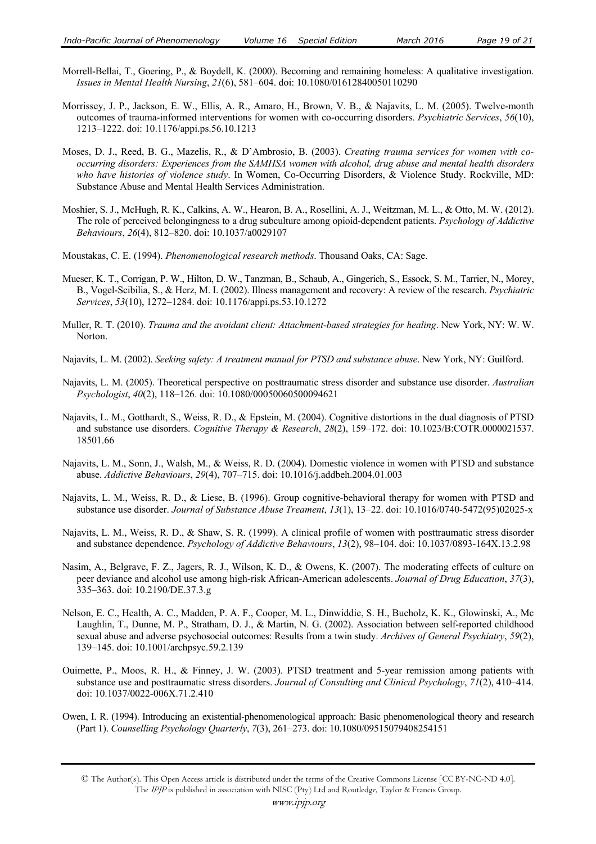- Morrell-Bellai, T., Goering, P., & Boydell, K. (2000). Becoming and remaining homeless: A qualitative investigation. *Issues in Mental Health Nursing*, *21*(6), 581–604. doi: 10.1080/01612840050110290
- Morrissey, J. P., Jackson, E. W., Ellis, A. R., Amaro, H., Brown, V. B., & Najavits, L. M. (2005). Twelve-month outcomes of trauma-informed interventions for women with co-occurring disorders. *Psychiatric Services*, *56*(10), 1213–1222. doi: 10.1176/appi.ps.56.10.1213
- Moses, D. J., Reed, B. G., Mazelis, R., & D'Ambrosio, B. (2003). *Creating trauma services for women with cooccurring disorders: Experiences from the SAMHSA women with alcohol, drug abuse and mental health disorders who have histories of violence study*. In Women, Co-Occurring Disorders, & Violence Study. Rockville, MD: Substance Abuse and Mental Health Services Administration.
- Moshier, S. J., McHugh, R. K., Calkins, A. W., Hearon, B. A., Rosellini, A. J., Weitzman, M. L., & Otto, M. W. (2012). The role of perceived belongingness to a drug subculture among opioid-dependent patients. *Psychology of Addictive Behaviours*, *26*(4), 812–820. doi: 10.1037/a0029107
- Moustakas, C. E. (1994). *Phenomenological research methods*. Thousand Oaks, CA: Sage.
- Mueser, K. T., Corrigan, P. W., Hilton, D. W., Tanzman, B., Schaub, A., Gingerich, S., Essock, S. M., Tarrier, N., Morey, B., Vogel-Scibilia, S., & Herz, M. I. (2002). Illness management and recovery: A review of the research. *Psychiatric Services*, *53*(10), 1272–1284. doi: 10.1176/appi.ps.53.10.1272
- Muller, R. T. (2010). *Trauma and the avoidant client: Attachment-based strategies for healing*. New York, NY: W. W. Norton.
- Najavits, L. M. (2002). *Seeking safety: A treatment manual for PTSD and substance abuse*. New York, NY: Guilford.
- Najavits, L. M. (2005). Theoretical perspective on posttraumatic stress disorder and substance use disorder. *Australian Psychologist*, *40*(2), 118–126. doi: 10.1080/00050060500094621
- Najavits, L. M., Gotthardt, S., Weiss, R. D., & Epstein, M. (2004). Cognitive distortions in the dual diagnosis of PTSD and substance use disorders. *Cognitive Therapy & Research*, *28*(2), 159–172. doi: 10.1023/B:COTR.0000021537. 18501.66
- Najavits, L. M., Sonn, J., Walsh, M., & Weiss, R. D. (2004). Domestic violence in women with PTSD and substance abuse. *Addictive Behaviours*, *29*(4), 707–715. doi: 10.1016/j.addbeh.2004.01.003
- Najavits, L. M., Weiss, R. D., & Liese, B. (1996). Group cognitive-behavioral therapy for women with PTSD and substance use disorder. *Journal of Substance Abuse Treament*, *13*(1), 13–22. doi: 10.1016/0740-5472(95)02025-x
- Najavits, L. M., Weiss, R. D., & Shaw, S. R. (1999). A clinical profile of women with posttraumatic stress disorder and substance dependence. *Psychology of Addictive Behaviours*, *13*(2), 98–104. doi: 10.1037/0893-164X.13.2.98
- Nasim, A., Belgrave, F. Z., Jagers, R. J., Wilson, K. D., & Owens, K. (2007). The moderating effects of culture on peer deviance and alcohol use among high-risk African-American adolescents. *Journal of Drug Education*, *37*(3), 335–363. doi: 10.2190/DE.37.3.g
- Nelson, E. C., Health, A. C., Madden, P. A. F., Cooper, M. L., Dinwiddie, S. H., Bucholz, K. K., Glowinski, A., Mc Laughlin, T., Dunne, M. P., Stratham, D. J., & Martin, N. G. (2002). Association between self-reported childhood sexual abuse and adverse psychosocial outcomes: Results from a twin study. *Archives of General Psychiatry*, *59*(2), 139–145. doi: 10.1001/archpsyc.59.2.139
- Ouimette, P., Moos, R. H., & Finney, J. W. (2003). PTSD treatment and 5-year remission among patients with substance use and posttraumatic stress disorders. *Journal of Consulting and Clinical Psychology*, *71*(2), 410–414. doi: 10.1037/0022-006X.71.2.410
- Owen, I. R. (1994). Introducing an existential-phenomenological approach: Basic phenomenological theory and research (Part 1). *Counselling Psychology Quarterly*, *7*(3), 261–273. doi: 10.1080/09515079408254151

<sup>©</sup> The Author(s). This Open Access article is distributed under the terms of the Creative Commons License [CC BY-NC-ND 4.0]. The IPJP is published in association with NISC (Pty) Ltd and Routledge, Taylor & Francis Group.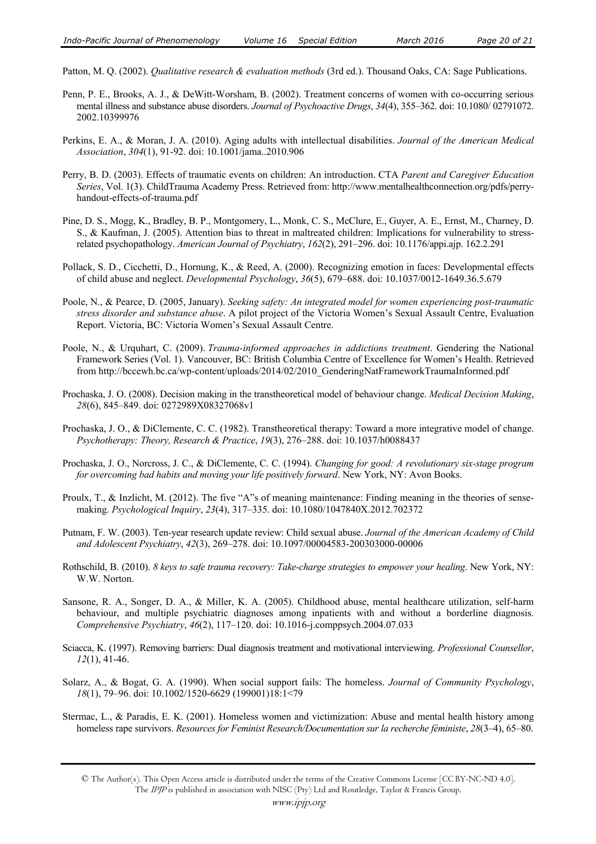Patton, M. Q. (2002). *Qualitative research & evaluation methods* (3rd ed.). Thousand Oaks, CA: Sage Publications.

- Penn, P. E., Brooks, A. J., & DeWitt-Worsham, B. (2002). Treatment concerns of women with co-occurring serious mental illness and substance abuse disorders. *Journal of Psychoactive Drugs*, *34*(4), 355–362. doi: 10.1080/ 02791072. 2002.10399976
- Perkins, E. A., & Moran, J. A. (2010). Aging adults with intellectual disabilities. *Journal of the American Medical Association*, *304*(1), 91-92. doi: 10.1001/jama..2010.906
- Perry, B. D. (2003). Effects of traumatic events on children: An introduction. CTA *Parent and Caregiver Education Series*, Vol. 1(3). ChildTrauma Academy Press. Retrieved from: http://www.mentalhealthconnection.org/pdfs/perryhandout-effects-of-trauma.pdf
- Pine, D. S., Mogg, K., Bradley, B. P., Montgomery, L., Monk, C. S., McClure, E., Guyer, A. E., Ernst, M., Charney, D. S., & Kaufman, J. (2005). Attention bias to threat in maltreated children: Implications for vulnerability to stressrelated psychopathology. *American Journal of Psychiatry*, *162*(2), 291–296. doi: 10.1176/appi.ajp. 162.2.291
- Pollack, S. D., Cicchetti, D., Hornung, K., & Reed, A. (2000). Recognizing emotion in faces: Developmental effects of child abuse and neglect. *Developmental Psychology*, *36*(5), 679–688. doi: 10.1037/0012-1649.36.5.679
- Poole, N., & Pearce, D. (2005, January). *Seeking safety: An integrated model for women experiencing post-traumatic stress disorder and substance abuse*. A pilot project of the Victoria Women's Sexual Assault Centre, Evaluation Report. Victoria, BC: Victoria Women's Sexual Assault Centre.
- Poole, N., & Urquhart, C. (2009). *Trauma-informed approaches in addictions treatment*. Gendering the National Framework Series (Vol. 1). Vancouver, BC: British Columbia Centre of Excellence for Women's Health. Retrieved from http://bccewh.bc.ca/wp-content/uploads/2014/02/2010\_GenderingNatFrameworkTraumaInformed.pdf
- Prochaska, J. O. (2008). Decision making in the transtheoretical model of behaviour change. *Medical Decision Making*, *28*(6), 845–849. doi: 0272989X08327068v1
- Prochaska, J. O., & DiClemente, C. C. (1982). Transtheoretical therapy: Toward a more integrative model of change. *Psychotherapy: Theory, Research & Practice*, *19*(3), 276–288. doi: 10.1037/h0088437
- Prochaska, J. O., Norcross, J. C., & DiClemente, C. C. (1994). *Changing for good: A revolutionary six-stage program for overcoming bad habits and moving your life positively forward*. New York, NY: Avon Books.
- Proulx, T., & Inzlicht, M. (2012). The five "A"s of meaning maintenance: Finding meaning in the theories of sensemaking. *Psychological Inquiry*, *23*(4), 317–335. doi: 10.1080/1047840X.2012.702372
- Putnam, F. W. (2003). Ten-year research update review: Child sexual abuse. *Journal of the American Academy of Child and Adolescent Psychiatry*, *42*(3), 269–278. doi: 10.1097/00004583-200303000-00006
- Rothschild, B. (2010). *8 keys to safe trauma recovery: Take-charge strategies to empower your healing*. New York, NY: W.W. Norton.
- Sansone, R. A., Songer, D. A., & Miller, K. A. (2005). Childhood abuse, mental healthcare utilization, self-harm behaviour, and multiple psychiatric diagnoses among inpatients with and without a borderline diagnosis. *Comprehensive Psychiatry*, *46*(2), 117–120. doi: 10.1016-j.comppsych.2004.07.033
- Sciacca, K. (1997). Removing barriers: Dual diagnosis treatment and motivational interviewing. *Professional Counsellor*, *12*(1), 41-46.
- Solarz, A., & Bogat, G. A. (1990). When social support fails: The homeless. *Journal of Community Psychology*, *18*(1), 79–96. doi: 10.1002/1520-6629 (199001)18:1<79
- Stermac, L., & Paradis, E. K. (2001). Homeless women and victimization: Abuse and mental health history among homeless rape survivors. *Resources for Feminist Research/Documentation sur la recherche féministe*, *28*(3–4), 65–80.

<sup>©</sup> The Author(s). This Open Access article is distributed under the terms of the Creative Commons License [CC BY-NC-ND 4.0]. The IPJP is published in association with NISC (Pty) Ltd and Routledge, Taylor & Francis Group.